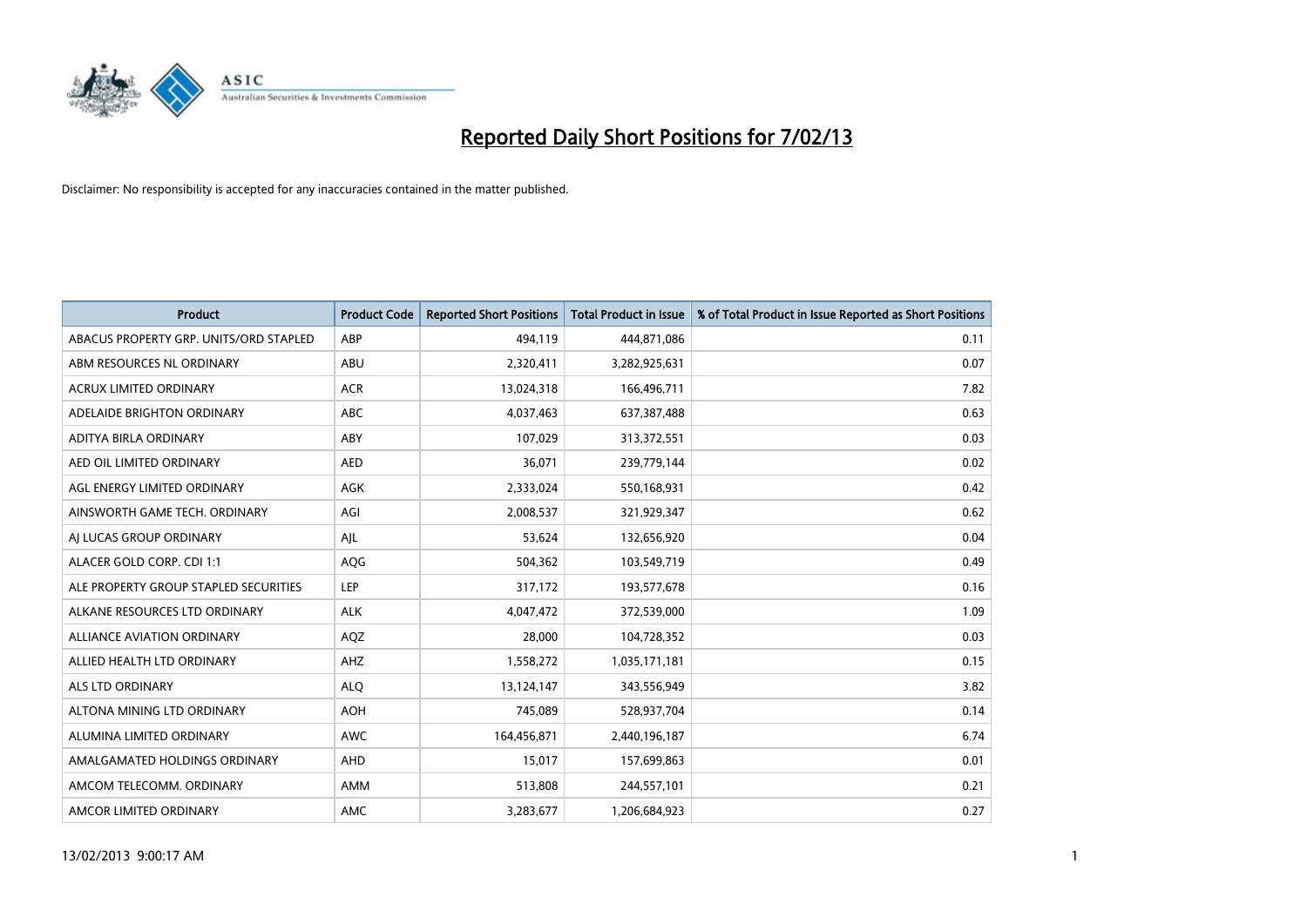

| <b>Product</b>                         | <b>Product Code</b> | <b>Reported Short Positions</b> | <b>Total Product in Issue</b> | % of Total Product in Issue Reported as Short Positions |
|----------------------------------------|---------------------|---------------------------------|-------------------------------|---------------------------------------------------------|
| ABACUS PROPERTY GRP. UNITS/ORD STAPLED | ABP                 | 494,119                         | 444,871,086                   | 0.11                                                    |
| ABM RESOURCES NL ORDINARY              | ABU                 | 2,320,411                       | 3,282,925,631                 | 0.07                                                    |
| <b>ACRUX LIMITED ORDINARY</b>          | <b>ACR</b>          | 13,024,318                      | 166,496,711                   | 7.82                                                    |
| ADELAIDE BRIGHTON ORDINARY             | <b>ABC</b>          | 4,037,463                       | 637,387,488                   | 0.63                                                    |
| <b>ADITYA BIRLA ORDINARY</b>           | ABY                 | 107,029                         | 313,372,551                   | 0.03                                                    |
| AED OIL LIMITED ORDINARY               | <b>AED</b>          | 36,071                          | 239,779,144                   | 0.02                                                    |
| AGL ENERGY LIMITED ORDINARY            | AGK                 | 2,333,024                       | 550,168,931                   | 0.42                                                    |
| AINSWORTH GAME TECH. ORDINARY          | AGI                 | 2,008,537                       | 321,929,347                   | 0.62                                                    |
| AJ LUCAS GROUP ORDINARY                | AJL                 | 53,624                          | 132,656,920                   | 0.04                                                    |
| ALACER GOLD CORP. CDI 1:1              | AQG                 | 504,362                         | 103,549,719                   | 0.49                                                    |
| ALE PROPERTY GROUP STAPLED SECURITIES  | <b>LEP</b>          | 317,172                         | 193,577,678                   | 0.16                                                    |
| ALKANE RESOURCES LTD ORDINARY          | <b>ALK</b>          | 4,047,472                       | 372,539,000                   | 1.09                                                    |
| <b>ALLIANCE AVIATION ORDINARY</b>      | AQZ                 | 28.000                          | 104,728,352                   | 0.03                                                    |
| ALLIED HEALTH LTD ORDINARY             | AHZ                 | 1,558,272                       | 1,035,171,181                 | 0.15                                                    |
| <b>ALS LTD ORDINARY</b>                | <b>ALO</b>          | 13,124,147                      | 343,556,949                   | 3.82                                                    |
| ALTONA MINING LTD ORDINARY             | <b>AOH</b>          | 745,089                         | 528,937,704                   | 0.14                                                    |
| ALUMINA LIMITED ORDINARY               | <b>AWC</b>          | 164,456,871                     | 2,440,196,187                 | 6.74                                                    |
| AMALGAMATED HOLDINGS ORDINARY          | AHD                 | 15,017                          | 157,699,863                   | 0.01                                                    |
| AMCOM TELECOMM. ORDINARY               | AMM                 | 513,808                         | 244,557,101                   | 0.21                                                    |
| AMCOR LIMITED ORDINARY                 | AMC                 | 3,283,677                       | 1,206,684,923                 | 0.27                                                    |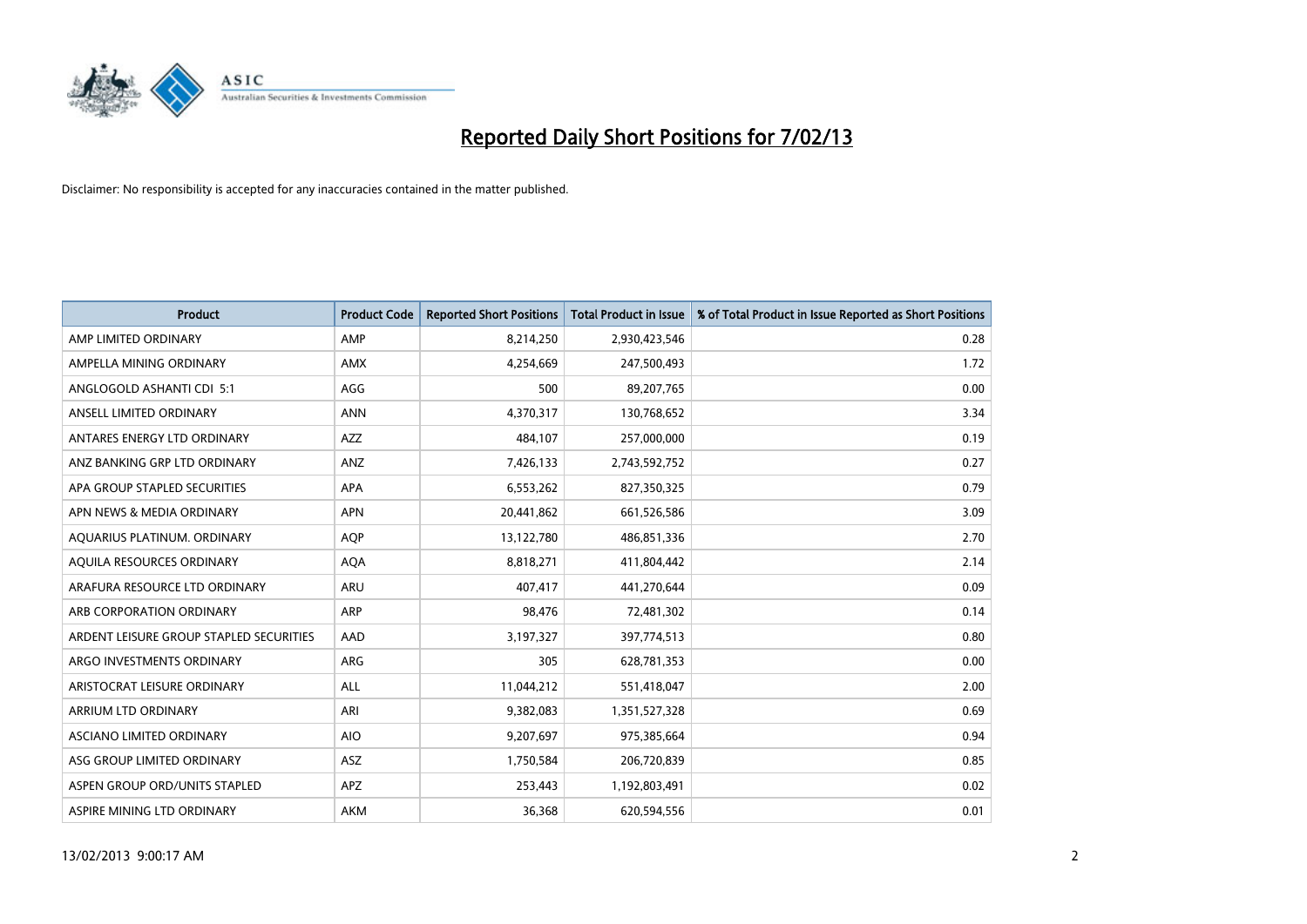

| <b>Product</b>                          | <b>Product Code</b> | <b>Reported Short Positions</b> | <b>Total Product in Issue</b> | % of Total Product in Issue Reported as Short Positions |
|-----------------------------------------|---------------------|---------------------------------|-------------------------------|---------------------------------------------------------|
| AMP LIMITED ORDINARY                    | AMP                 | 8,214,250                       | 2,930,423,546                 | 0.28                                                    |
| AMPELLA MINING ORDINARY                 | <b>AMX</b>          | 4,254,669                       | 247,500,493                   | 1.72                                                    |
| ANGLOGOLD ASHANTI CDI 5:1               | AGG                 | 500                             | 89,207,765                    | 0.00                                                    |
| ANSELL LIMITED ORDINARY                 | <b>ANN</b>          | 4,370,317                       | 130,768,652                   | 3.34                                                    |
| ANTARES ENERGY LTD ORDINARY             | <b>AZZ</b>          | 484,107                         | 257,000,000                   | 0.19                                                    |
| ANZ BANKING GRP LTD ORDINARY            | ANZ                 | 7,426,133                       | 2,743,592,752                 | 0.27                                                    |
| APA GROUP STAPLED SECURITIES            | <b>APA</b>          | 6,553,262                       | 827,350,325                   | 0.79                                                    |
| APN NEWS & MEDIA ORDINARY               | <b>APN</b>          | 20,441,862                      | 661,526,586                   | 3.09                                                    |
| AQUARIUS PLATINUM. ORDINARY             | <b>AOP</b>          | 13,122,780                      | 486,851,336                   | 2.70                                                    |
| AQUILA RESOURCES ORDINARY               | <b>AQA</b>          | 8,818,271                       | 411,804,442                   | 2.14                                                    |
| ARAFURA RESOURCE LTD ORDINARY           | ARU                 | 407,417                         | 441,270,644                   | 0.09                                                    |
| ARB CORPORATION ORDINARY                | <b>ARP</b>          | 98,476                          | 72,481,302                    | 0.14                                                    |
| ARDENT LEISURE GROUP STAPLED SECURITIES | AAD                 | 3,197,327                       | 397,774,513                   | 0.80                                                    |
| ARGO INVESTMENTS ORDINARY               | ARG                 | 305                             | 628,781,353                   | 0.00                                                    |
| ARISTOCRAT LEISURE ORDINARY             | <b>ALL</b>          | 11,044,212                      | 551,418,047                   | 2.00                                                    |
| ARRIUM LTD ORDINARY                     | ARI                 | 9,382,083                       | 1,351,527,328                 | 0.69                                                    |
| ASCIANO LIMITED ORDINARY                | <b>AIO</b>          | 9,207,697                       | 975,385,664                   | 0.94                                                    |
| ASG GROUP LIMITED ORDINARY              | <b>ASZ</b>          | 1,750,584                       | 206,720,839                   | 0.85                                                    |
| ASPEN GROUP ORD/UNITS STAPLED           | <b>APZ</b>          | 253,443                         | 1,192,803,491                 | 0.02                                                    |
| ASPIRE MINING LTD ORDINARY              | <b>AKM</b>          | 36,368                          | 620,594,556                   | 0.01                                                    |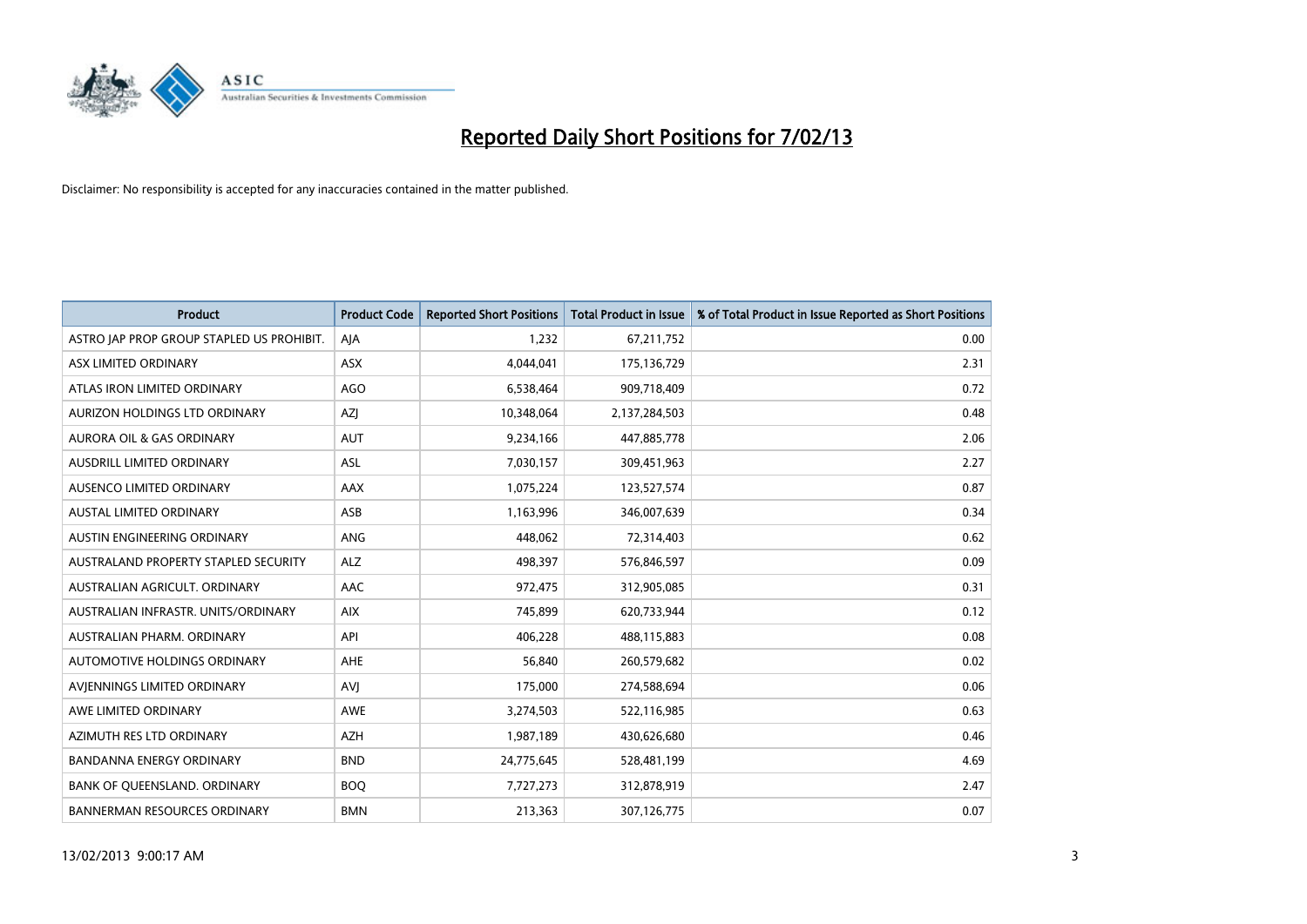

| <b>Product</b>                            | <b>Product Code</b> | <b>Reported Short Positions</b> | <b>Total Product in Issue</b> | % of Total Product in Issue Reported as Short Positions |
|-------------------------------------------|---------------------|---------------------------------|-------------------------------|---------------------------------------------------------|
| ASTRO JAP PROP GROUP STAPLED US PROHIBIT. | AJA                 | 1,232                           | 67,211,752                    | 0.00                                                    |
| ASX LIMITED ORDINARY                      | <b>ASX</b>          | 4,044,041                       | 175,136,729                   | 2.31                                                    |
| ATLAS IRON LIMITED ORDINARY               | <b>AGO</b>          | 6,538,464                       | 909,718,409                   | 0.72                                                    |
| AURIZON HOLDINGS LTD ORDINARY             | AZJ                 | 10,348,064                      | 2,137,284,503                 | 0.48                                                    |
| <b>AURORA OIL &amp; GAS ORDINARY</b>      | <b>AUT</b>          | 9,234,166                       | 447,885,778                   | 2.06                                                    |
| AUSDRILL LIMITED ORDINARY                 | <b>ASL</b>          | 7,030,157                       | 309,451,963                   | 2.27                                                    |
| AUSENCO LIMITED ORDINARY                  | <b>AAX</b>          | 1,075,224                       | 123,527,574                   | 0.87                                                    |
| AUSTAL LIMITED ORDINARY                   | ASB                 | 1,163,996                       | 346,007,639                   | 0.34                                                    |
| AUSTIN ENGINEERING ORDINARY               | <b>ANG</b>          | 448,062                         | 72,314,403                    | 0.62                                                    |
| AUSTRALAND PROPERTY STAPLED SECURITY      | <b>ALZ</b>          | 498,397                         | 576,846,597                   | 0.09                                                    |
| AUSTRALIAN AGRICULT. ORDINARY             | AAC                 | 972,475                         | 312,905,085                   | 0.31                                                    |
| AUSTRALIAN INFRASTR, UNITS/ORDINARY       | <b>AIX</b>          | 745,899                         | 620,733,944                   | 0.12                                                    |
| AUSTRALIAN PHARM. ORDINARY                | API                 | 406,228                         | 488,115,883                   | 0.08                                                    |
| AUTOMOTIVE HOLDINGS ORDINARY              | AHE                 | 56,840                          | 260,579,682                   | 0.02                                                    |
| AVIENNINGS LIMITED ORDINARY               | AVI                 | 175,000                         | 274,588,694                   | 0.06                                                    |
| AWE LIMITED ORDINARY                      | <b>AWE</b>          | 3,274,503                       | 522,116,985                   | 0.63                                                    |
| AZIMUTH RES LTD ORDINARY                  | <b>AZH</b>          | 1,987,189                       | 430,626,680                   | 0.46                                                    |
| BANDANNA ENERGY ORDINARY                  | <b>BND</b>          | 24,775,645                      | 528,481,199                   | 4.69                                                    |
| BANK OF QUEENSLAND. ORDINARY              | <b>BOQ</b>          | 7,727,273                       | 312,878,919                   | 2.47                                                    |
| <b>BANNERMAN RESOURCES ORDINARY</b>       | <b>BMN</b>          | 213,363                         | 307,126,775                   | 0.07                                                    |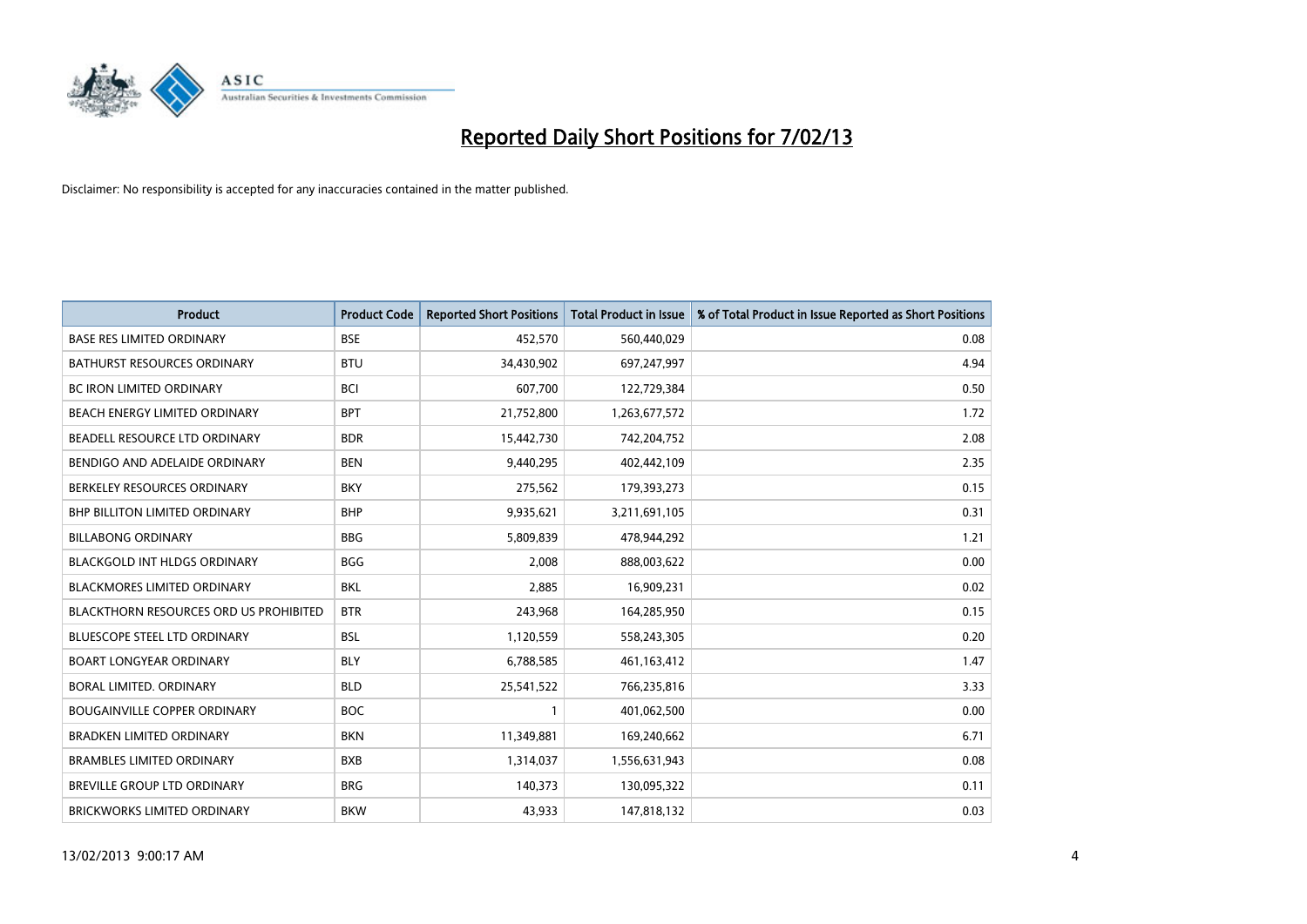

| <b>Product</b>                                | <b>Product Code</b> | <b>Reported Short Positions</b> | <b>Total Product in Issue</b> | % of Total Product in Issue Reported as Short Positions |
|-----------------------------------------------|---------------------|---------------------------------|-------------------------------|---------------------------------------------------------|
| <b>BASE RES LIMITED ORDINARY</b>              | <b>BSE</b>          | 452,570                         | 560,440,029                   | 0.08                                                    |
| <b>BATHURST RESOURCES ORDINARY</b>            | <b>BTU</b>          | 34,430,902                      | 697,247,997                   | 4.94                                                    |
| <b>BC IRON LIMITED ORDINARY</b>               | <b>BCI</b>          | 607,700                         | 122,729,384                   | 0.50                                                    |
| BEACH ENERGY LIMITED ORDINARY                 | <b>BPT</b>          | 21,752,800                      | 1,263,677,572                 | 1.72                                                    |
| BEADELL RESOURCE LTD ORDINARY                 | <b>BDR</b>          | 15,442,730                      | 742,204,752                   | 2.08                                                    |
| BENDIGO AND ADELAIDE ORDINARY                 | <b>BEN</b>          | 9,440,295                       | 402,442,109                   | 2.35                                                    |
| BERKELEY RESOURCES ORDINARY                   | <b>BKY</b>          | 275,562                         | 179,393,273                   | 0.15                                                    |
| <b>BHP BILLITON LIMITED ORDINARY</b>          | <b>BHP</b>          | 9,935,621                       | 3,211,691,105                 | 0.31                                                    |
| <b>BILLABONG ORDINARY</b>                     | <b>BBG</b>          | 5,809,839                       | 478,944,292                   | 1.21                                                    |
| <b>BLACKGOLD INT HLDGS ORDINARY</b>           | <b>BGG</b>          | 2,008                           | 888,003,622                   | 0.00                                                    |
| BLACKMORES LIMITED ORDINARY                   | <b>BKL</b>          | 2,885                           | 16,909,231                    | 0.02                                                    |
| <b>BLACKTHORN RESOURCES ORD US PROHIBITED</b> | <b>BTR</b>          | 243,968                         | 164,285,950                   | 0.15                                                    |
| BLUESCOPE STEEL LTD ORDINARY                  | <b>BSL</b>          | 1,120,559                       | 558,243,305                   | 0.20                                                    |
| <b>BOART LONGYEAR ORDINARY</b>                | <b>BLY</b>          | 6,788,585                       | 461,163,412                   | 1.47                                                    |
| <b>BORAL LIMITED, ORDINARY</b>                | <b>BLD</b>          | 25,541,522                      | 766,235,816                   | 3.33                                                    |
| <b>BOUGAINVILLE COPPER ORDINARY</b>           | <b>BOC</b>          |                                 | 401,062,500                   | 0.00                                                    |
| <b>BRADKEN LIMITED ORDINARY</b>               | <b>BKN</b>          | 11,349,881                      | 169,240,662                   | 6.71                                                    |
| <b>BRAMBLES LIMITED ORDINARY</b>              | <b>BXB</b>          | 1,314,037                       | 1,556,631,943                 | 0.08                                                    |
| BREVILLE GROUP LTD ORDINARY                   | <b>BRG</b>          | 140,373                         | 130,095,322                   | 0.11                                                    |
| BRICKWORKS LIMITED ORDINARY                   | <b>BKW</b>          | 43,933                          | 147,818,132                   | 0.03                                                    |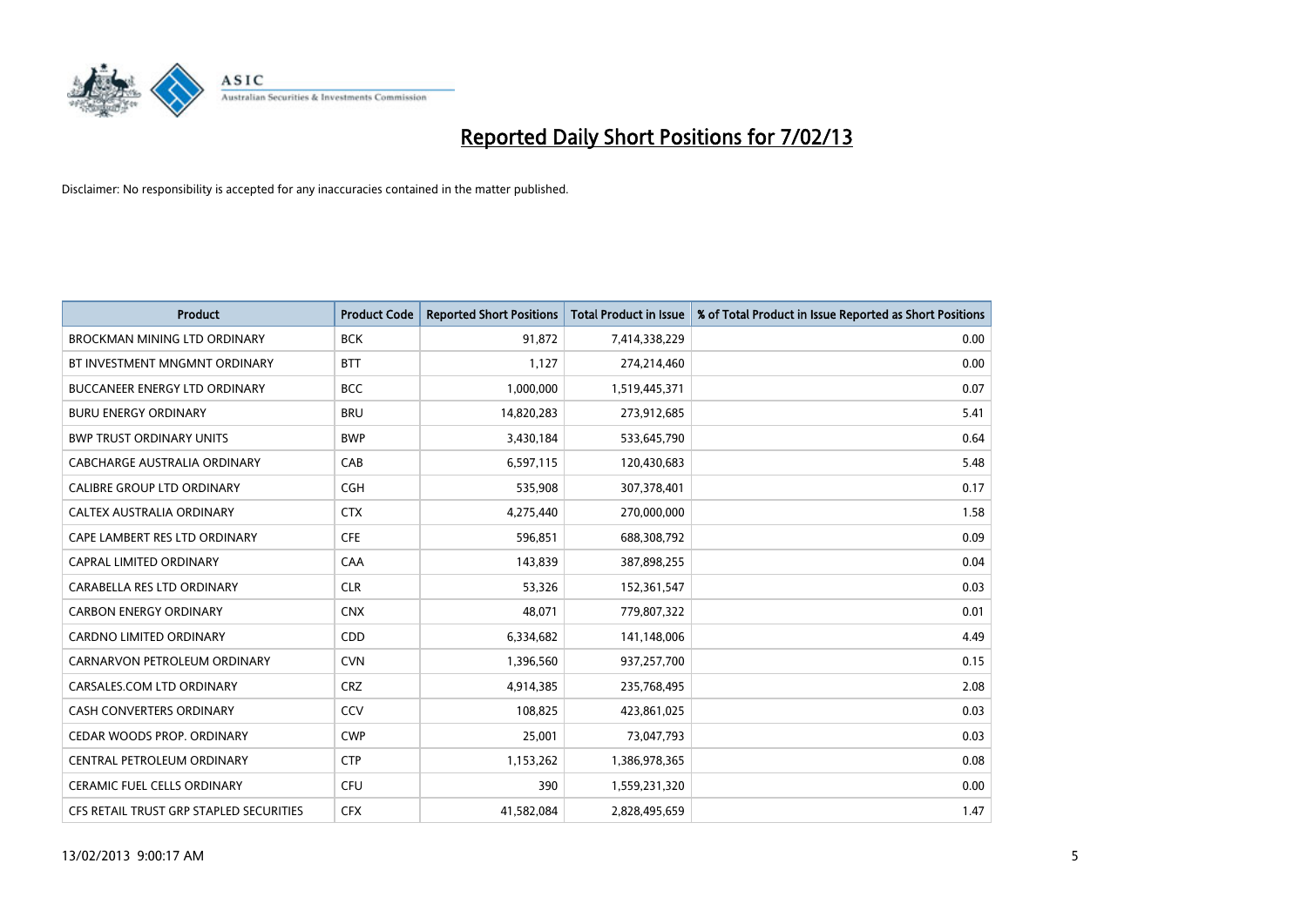

| <b>Product</b>                          | <b>Product Code</b> | <b>Reported Short Positions</b> | <b>Total Product in Issue</b> | % of Total Product in Issue Reported as Short Positions |
|-----------------------------------------|---------------------|---------------------------------|-------------------------------|---------------------------------------------------------|
| <b>BROCKMAN MINING LTD ORDINARY</b>     | <b>BCK</b>          | 91,872                          | 7,414,338,229                 | 0.00                                                    |
| BT INVESTMENT MNGMNT ORDINARY           | <b>BTT</b>          | 1,127                           | 274,214,460                   | 0.00                                                    |
| <b>BUCCANEER ENERGY LTD ORDINARY</b>    | <b>BCC</b>          | 1,000,000                       | 1,519,445,371                 | 0.07                                                    |
| <b>BURU ENERGY ORDINARY</b>             | <b>BRU</b>          | 14,820,283                      | 273,912,685                   | 5.41                                                    |
| <b>BWP TRUST ORDINARY UNITS</b>         | <b>BWP</b>          | 3,430,184                       | 533,645,790                   | 0.64                                                    |
| CABCHARGE AUSTRALIA ORDINARY            | CAB                 | 6,597,115                       | 120,430,683                   | 5.48                                                    |
| <b>CALIBRE GROUP LTD ORDINARY</b>       | <b>CGH</b>          | 535,908                         | 307,378,401                   | 0.17                                                    |
| CALTEX AUSTRALIA ORDINARY               | <b>CTX</b>          | 4,275,440                       | 270,000,000                   | 1.58                                                    |
| CAPE LAMBERT RES LTD ORDINARY           | <b>CFE</b>          | 596,851                         | 688,308,792                   | 0.09                                                    |
| <b>CAPRAL LIMITED ORDINARY</b>          | CAA                 | 143,839                         | 387,898,255                   | 0.04                                                    |
| CARABELLA RES LTD ORDINARY              | <b>CLR</b>          | 53,326                          | 152,361,547                   | 0.03                                                    |
| <b>CARBON ENERGY ORDINARY</b>           | <b>CNX</b>          | 48,071                          | 779,807,322                   | 0.01                                                    |
| <b>CARDNO LIMITED ORDINARY</b>          | <b>CDD</b>          | 6,334,682                       | 141,148,006                   | 4.49                                                    |
| CARNARVON PETROLEUM ORDINARY            | <b>CVN</b>          | 1,396,560                       | 937,257,700                   | 0.15                                                    |
| CARSALES.COM LTD ORDINARY               | <b>CRZ</b>          | 4,914,385                       | 235,768,495                   | 2.08                                                    |
| <b>CASH CONVERTERS ORDINARY</b>         | CCV                 | 108,825                         | 423,861,025                   | 0.03                                                    |
| CEDAR WOODS PROP. ORDINARY              | <b>CWP</b>          | 25,001                          | 73,047,793                    | 0.03                                                    |
| CENTRAL PETROLEUM ORDINARY              | <b>CTP</b>          | 1,153,262                       | 1,386,978,365                 | 0.08                                                    |
| <b>CERAMIC FUEL CELLS ORDINARY</b>      | CFU                 | 390                             | 1,559,231,320                 | 0.00                                                    |
| CFS RETAIL TRUST GRP STAPLED SECURITIES | <b>CFX</b>          | 41,582,084                      | 2,828,495,659                 | 1.47                                                    |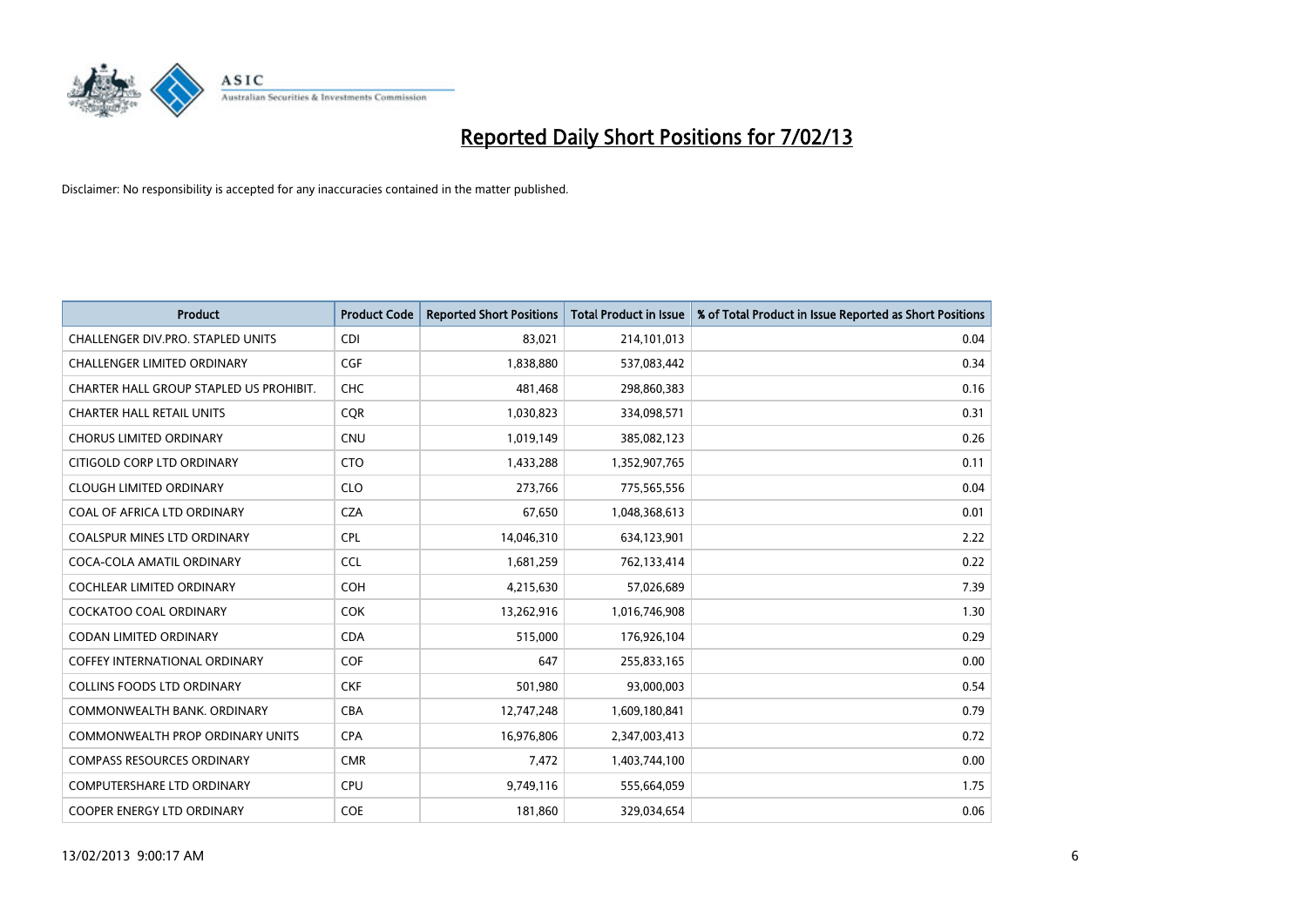

| <b>Product</b>                          | <b>Product Code</b> | <b>Reported Short Positions</b> | <b>Total Product in Issue</b> | % of Total Product in Issue Reported as Short Positions |
|-----------------------------------------|---------------------|---------------------------------|-------------------------------|---------------------------------------------------------|
| CHALLENGER DIV.PRO. STAPLED UNITS       | <b>CDI</b>          | 83,021                          | 214,101,013                   | 0.04                                                    |
| <b>CHALLENGER LIMITED ORDINARY</b>      | <b>CGF</b>          | 1,838,880                       | 537,083,442                   | 0.34                                                    |
| CHARTER HALL GROUP STAPLED US PROHIBIT. | <b>CHC</b>          | 481,468                         | 298,860,383                   | 0.16                                                    |
| <b>CHARTER HALL RETAIL UNITS</b>        | <b>COR</b>          | 1,030,823                       | 334,098,571                   | 0.31                                                    |
| <b>CHORUS LIMITED ORDINARY</b>          | <b>CNU</b>          | 1,019,149                       | 385,082,123                   | 0.26                                                    |
| CITIGOLD CORP LTD ORDINARY              | <b>CTO</b>          | 1,433,288                       | 1,352,907,765                 | 0.11                                                    |
| <b>CLOUGH LIMITED ORDINARY</b>          | <b>CLO</b>          | 273,766                         | 775,565,556                   | 0.04                                                    |
| COAL OF AFRICA LTD ORDINARY             | <b>CZA</b>          | 67,650                          | 1,048,368,613                 | 0.01                                                    |
| COALSPUR MINES LTD ORDINARY             | <b>CPL</b>          | 14,046,310                      | 634,123,901                   | 2.22                                                    |
| COCA-COLA AMATIL ORDINARY               | <b>CCL</b>          | 1,681,259                       | 762,133,414                   | 0.22                                                    |
| <b>COCHLEAR LIMITED ORDINARY</b>        | <b>COH</b>          | 4,215,630                       | 57,026,689                    | 7.39                                                    |
| <b>COCKATOO COAL ORDINARY</b>           | <b>COK</b>          | 13,262,916                      | 1,016,746,908                 | 1.30                                                    |
| <b>CODAN LIMITED ORDINARY</b>           | <b>CDA</b>          | 515,000                         | 176,926,104                   | 0.29                                                    |
| <b>COFFEY INTERNATIONAL ORDINARY</b>    | <b>COF</b>          | 647                             | 255,833,165                   | 0.00                                                    |
| <b>COLLINS FOODS LTD ORDINARY</b>       | <b>CKF</b>          | 501,980                         | 93,000,003                    | 0.54                                                    |
| COMMONWEALTH BANK, ORDINARY             | <b>CBA</b>          | 12,747,248                      | 1,609,180,841                 | 0.79                                                    |
| <b>COMMONWEALTH PROP ORDINARY UNITS</b> | <b>CPA</b>          | 16,976,806                      | 2,347,003,413                 | 0.72                                                    |
| <b>COMPASS RESOURCES ORDINARY</b>       | <b>CMR</b>          | 7,472                           | 1,403,744,100                 | 0.00                                                    |
| <b>COMPUTERSHARE LTD ORDINARY</b>       | <b>CPU</b>          | 9,749,116                       | 555,664,059                   | 1.75                                                    |
| <b>COOPER ENERGY LTD ORDINARY</b>       | <b>COE</b>          | 181,860                         | 329,034,654                   | 0.06                                                    |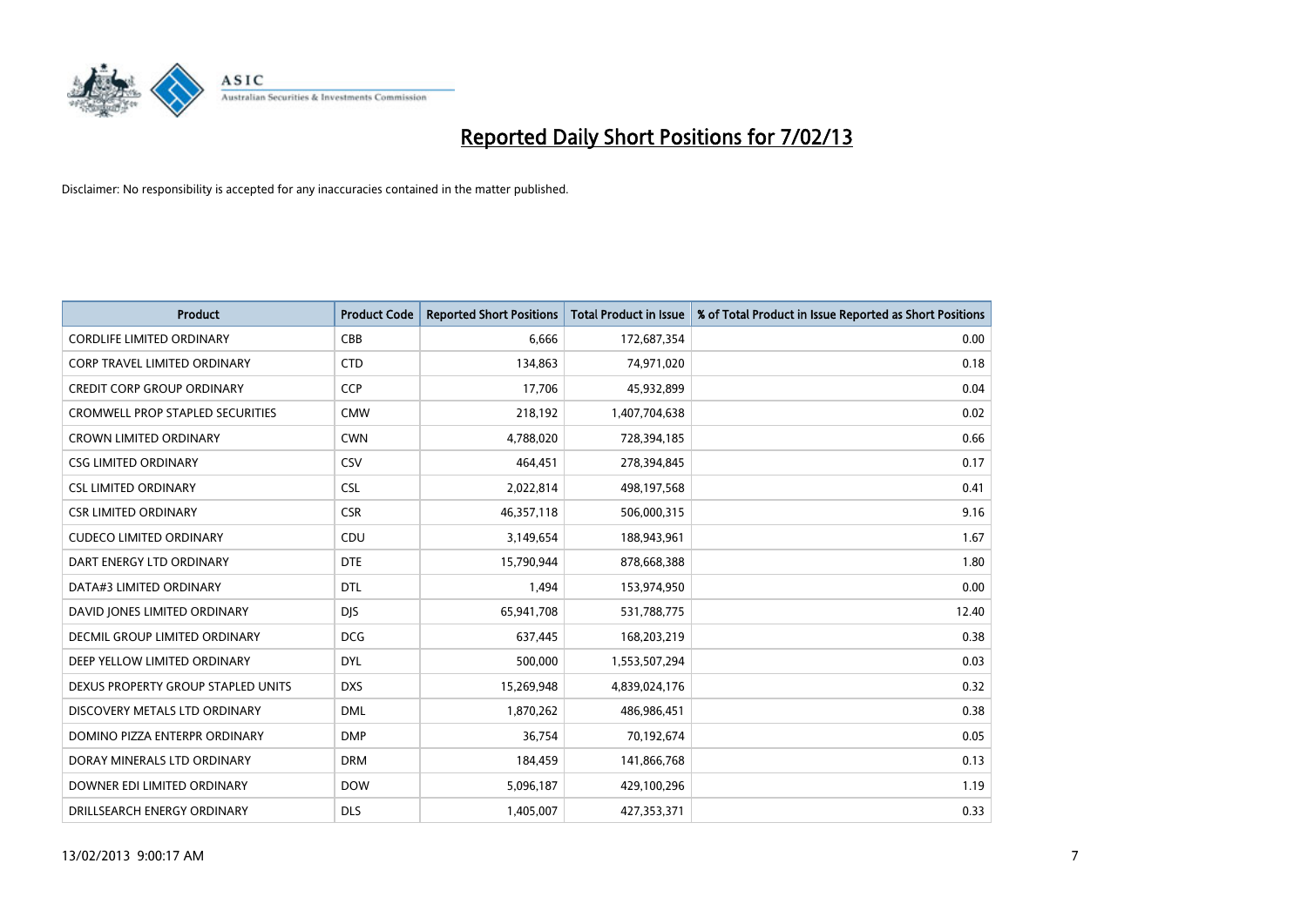

| <b>Product</b>                          | <b>Product Code</b> | <b>Reported Short Positions</b> | <b>Total Product in Issue</b> | % of Total Product in Issue Reported as Short Positions |
|-----------------------------------------|---------------------|---------------------------------|-------------------------------|---------------------------------------------------------|
| <b>CORDLIFE LIMITED ORDINARY</b>        | CBB                 | 6,666                           | 172,687,354                   | 0.00                                                    |
| CORP TRAVEL LIMITED ORDINARY            | <b>CTD</b>          | 134,863                         | 74,971,020                    | 0.18                                                    |
| <b>CREDIT CORP GROUP ORDINARY</b>       | <b>CCP</b>          | 17,706                          | 45,932,899                    | 0.04                                                    |
| <b>CROMWELL PROP STAPLED SECURITIES</b> | <b>CMW</b>          | 218,192                         | 1,407,704,638                 | 0.02                                                    |
| <b>CROWN LIMITED ORDINARY</b>           | <b>CWN</b>          | 4,788,020                       | 728,394,185                   | 0.66                                                    |
| <b>CSG LIMITED ORDINARY</b>             | CSV                 | 464,451                         | 278,394,845                   | 0.17                                                    |
| <b>CSL LIMITED ORDINARY</b>             | <b>CSL</b>          | 2,022,814                       | 498,197,568                   | 0.41                                                    |
| <b>CSR LIMITED ORDINARY</b>             | <b>CSR</b>          | 46,357,118                      | 506,000,315                   | 9.16                                                    |
| <b>CUDECO LIMITED ORDINARY</b>          | CDU                 | 3,149,654                       | 188,943,961                   | 1.67                                                    |
| DART ENERGY LTD ORDINARY                | <b>DTE</b>          | 15,790,944                      | 878,668,388                   | 1.80                                                    |
| DATA#3 LIMITED ORDINARY                 | <b>DTL</b>          | 1,494                           | 153,974,950                   | 0.00                                                    |
| DAVID JONES LIMITED ORDINARY            | <b>DJS</b>          | 65,941,708                      | 531,788,775                   | 12.40                                                   |
| <b>DECMIL GROUP LIMITED ORDINARY</b>    | <b>DCG</b>          | 637,445                         | 168,203,219                   | 0.38                                                    |
| DEEP YELLOW LIMITED ORDINARY            | <b>DYL</b>          | 500,000                         | 1,553,507,294                 | 0.03                                                    |
| DEXUS PROPERTY GROUP STAPLED UNITS      | <b>DXS</b>          | 15,269,948                      | 4,839,024,176                 | 0.32                                                    |
| DISCOVERY METALS LTD ORDINARY           | <b>DML</b>          | 1,870,262                       | 486,986,451                   | 0.38                                                    |
| DOMINO PIZZA ENTERPR ORDINARY           | <b>DMP</b>          | 36,754                          | 70,192,674                    | 0.05                                                    |
| DORAY MINERALS LTD ORDINARY             | <b>DRM</b>          | 184,459                         | 141,866,768                   | 0.13                                                    |
| DOWNER EDI LIMITED ORDINARY             | <b>DOW</b>          | 5,096,187                       | 429,100,296                   | 1.19                                                    |
| DRILLSEARCH ENERGY ORDINARY             | <b>DLS</b>          | 1,405,007                       | 427,353,371                   | 0.33                                                    |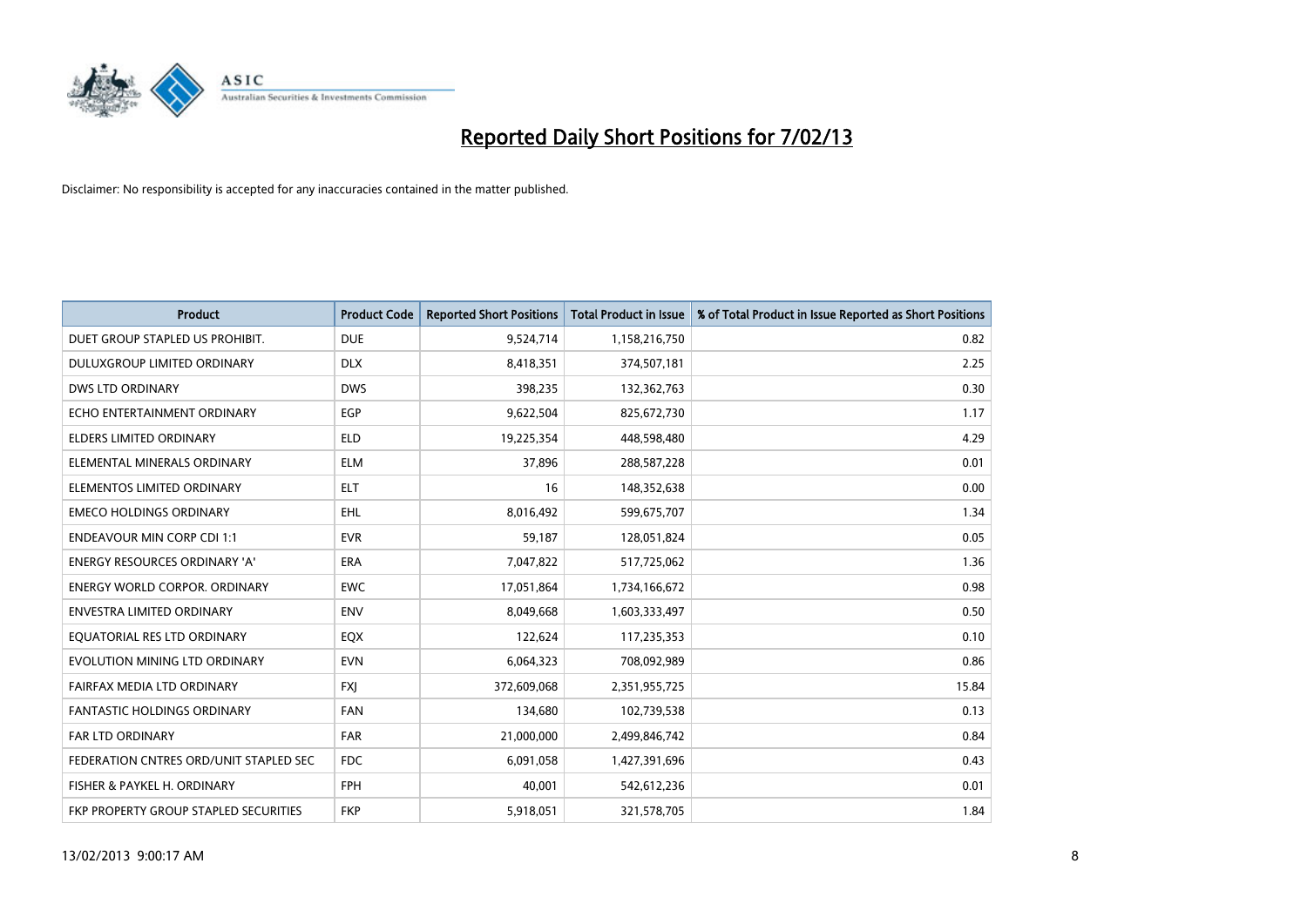

| <b>Product</b>                         | <b>Product Code</b> | <b>Reported Short Positions</b> | <b>Total Product in Issue</b> | % of Total Product in Issue Reported as Short Positions |
|----------------------------------------|---------------------|---------------------------------|-------------------------------|---------------------------------------------------------|
| DUET GROUP STAPLED US PROHIBIT.        | <b>DUE</b>          | 9,524,714                       | 1,158,216,750                 | 0.82                                                    |
| DULUXGROUP LIMITED ORDINARY            | <b>DLX</b>          | 8,418,351                       | 374,507,181                   | 2.25                                                    |
| <b>DWS LTD ORDINARY</b>                | <b>DWS</b>          | 398,235                         | 132,362,763                   | 0.30                                                    |
| ECHO ENTERTAINMENT ORDINARY            | <b>EGP</b>          | 9,622,504                       | 825,672,730                   | 1.17                                                    |
| <b>ELDERS LIMITED ORDINARY</b>         | <b>ELD</b>          | 19,225,354                      | 448,598,480                   | 4.29                                                    |
| ELEMENTAL MINERALS ORDINARY            | <b>ELM</b>          | 37,896                          | 288,587,228                   | 0.01                                                    |
| ELEMENTOS LIMITED ORDINARY             | <b>ELT</b>          | 16                              | 148,352,638                   | 0.00                                                    |
| <b>EMECO HOLDINGS ORDINARY</b>         | <b>EHL</b>          | 8,016,492                       | 599,675,707                   | 1.34                                                    |
| <b>ENDEAVOUR MIN CORP CDI 1:1</b>      | <b>EVR</b>          | 59,187                          | 128,051,824                   | 0.05                                                    |
| <b>ENERGY RESOURCES ORDINARY 'A'</b>   | <b>ERA</b>          | 7,047,822                       | 517,725,062                   | 1.36                                                    |
| ENERGY WORLD CORPOR, ORDINARY          | <b>EWC</b>          | 17,051,864                      | 1,734,166,672                 | 0.98                                                    |
| <b>ENVESTRA LIMITED ORDINARY</b>       | <b>ENV</b>          | 8,049,668                       | 1,603,333,497                 | 0.50                                                    |
| EQUATORIAL RES LTD ORDINARY            | EQX                 | 122,624                         | 117,235,353                   | 0.10                                                    |
| EVOLUTION MINING LTD ORDINARY          | <b>EVN</b>          | 6,064,323                       | 708,092,989                   | 0.86                                                    |
| FAIRFAX MEDIA LTD ORDINARY             | <b>FXI</b>          | 372,609,068                     | 2,351,955,725                 | 15.84                                                   |
| <b>FANTASTIC HOLDINGS ORDINARY</b>     | <b>FAN</b>          | 134,680                         | 102,739,538                   | 0.13                                                    |
| <b>FAR LTD ORDINARY</b>                | <b>FAR</b>          | 21,000,000                      | 2,499,846,742                 | 0.84                                                    |
| FEDERATION CNTRES ORD/UNIT STAPLED SEC | <b>FDC</b>          | 6,091,058                       | 1,427,391,696                 | 0.43                                                    |
| FISHER & PAYKEL H. ORDINARY            | <b>FPH</b>          | 40,001                          | 542,612,236                   | 0.01                                                    |
| FKP PROPERTY GROUP STAPLED SECURITIES  | <b>FKP</b>          | 5,918,051                       | 321,578,705                   | 1.84                                                    |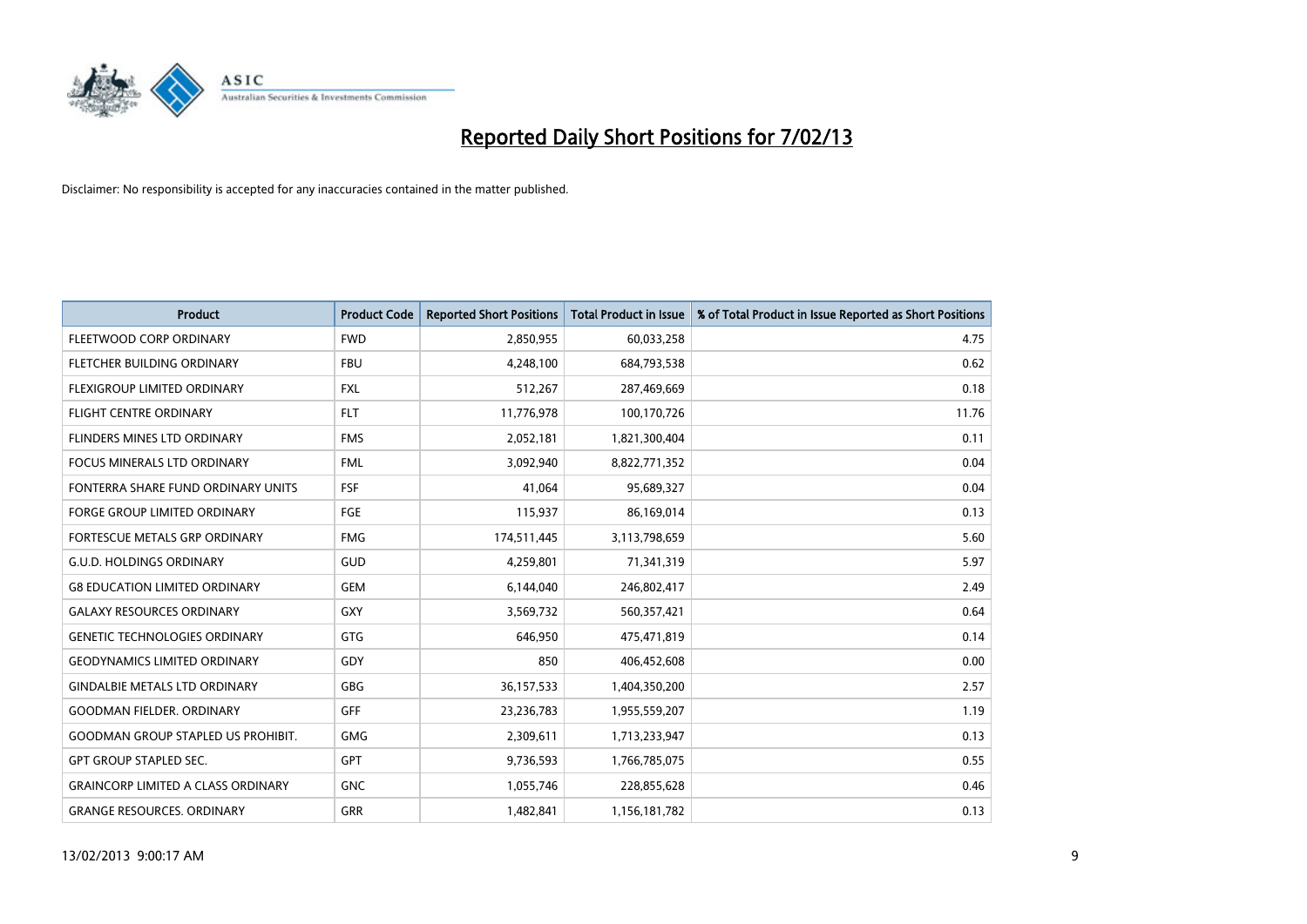

| <b>Product</b>                            | <b>Product Code</b> | <b>Reported Short Positions</b> | <b>Total Product in Issue</b> | % of Total Product in Issue Reported as Short Positions |
|-------------------------------------------|---------------------|---------------------------------|-------------------------------|---------------------------------------------------------|
| FLEETWOOD CORP ORDINARY                   | <b>FWD</b>          | 2,850,955                       | 60,033,258                    | 4.75                                                    |
| FLETCHER BUILDING ORDINARY                | <b>FBU</b>          | 4,248,100                       | 684,793,538                   | 0.62                                                    |
| <b>FLEXIGROUP LIMITED ORDINARY</b>        | <b>FXL</b>          | 512,267                         | 287,469,669                   | 0.18                                                    |
| FLIGHT CENTRE ORDINARY                    | <b>FLT</b>          | 11,776,978                      | 100,170,726                   | 11.76                                                   |
| FLINDERS MINES LTD ORDINARY               | <b>FMS</b>          | 2,052,181                       | 1,821,300,404                 | 0.11                                                    |
| <b>FOCUS MINERALS LTD ORDINARY</b>        | <b>FML</b>          | 3,092,940                       | 8,822,771,352                 | 0.04                                                    |
| FONTERRA SHARE FUND ORDINARY UNITS        | <b>FSF</b>          | 41,064                          | 95,689,327                    | 0.04                                                    |
| FORGE GROUP LIMITED ORDINARY              | FGE                 | 115,937                         | 86,169,014                    | 0.13                                                    |
| FORTESCUE METALS GRP ORDINARY             | <b>FMG</b>          | 174,511,445                     | 3,113,798,659                 | 5.60                                                    |
| <b>G.U.D. HOLDINGS ORDINARY</b>           | GUD                 | 4,259,801                       | 71,341,319                    | 5.97                                                    |
| <b>G8 EDUCATION LIMITED ORDINARY</b>      | <b>GEM</b>          | 6,144,040                       | 246,802,417                   | 2.49                                                    |
| <b>GALAXY RESOURCES ORDINARY</b>          | <b>GXY</b>          | 3,569,732                       | 560,357,421                   | 0.64                                                    |
| <b>GENETIC TECHNOLOGIES ORDINARY</b>      | <b>GTG</b>          | 646,950                         | 475,471,819                   | 0.14                                                    |
| <b>GEODYNAMICS LIMITED ORDINARY</b>       | GDY                 | 850                             | 406,452,608                   | 0.00                                                    |
| <b>GINDALBIE METALS LTD ORDINARY</b>      | <b>GBG</b>          | 36, 157, 533                    | 1,404,350,200                 | 2.57                                                    |
| <b>GOODMAN FIELDER. ORDINARY</b>          | <b>GFF</b>          | 23,236,783                      | 1,955,559,207                 | 1.19                                                    |
| <b>GOODMAN GROUP STAPLED US PROHIBIT.</b> | <b>GMG</b>          | 2,309,611                       | 1,713,233,947                 | 0.13                                                    |
| <b>GPT GROUP STAPLED SEC.</b>             | <b>GPT</b>          | 9,736,593                       | 1,766,785,075                 | 0.55                                                    |
| <b>GRAINCORP LIMITED A CLASS ORDINARY</b> | <b>GNC</b>          | 1,055,746                       | 228,855,628                   | 0.46                                                    |
| <b>GRANGE RESOURCES. ORDINARY</b>         | <b>GRR</b>          | 1,482,841                       | 1,156,181,782                 | 0.13                                                    |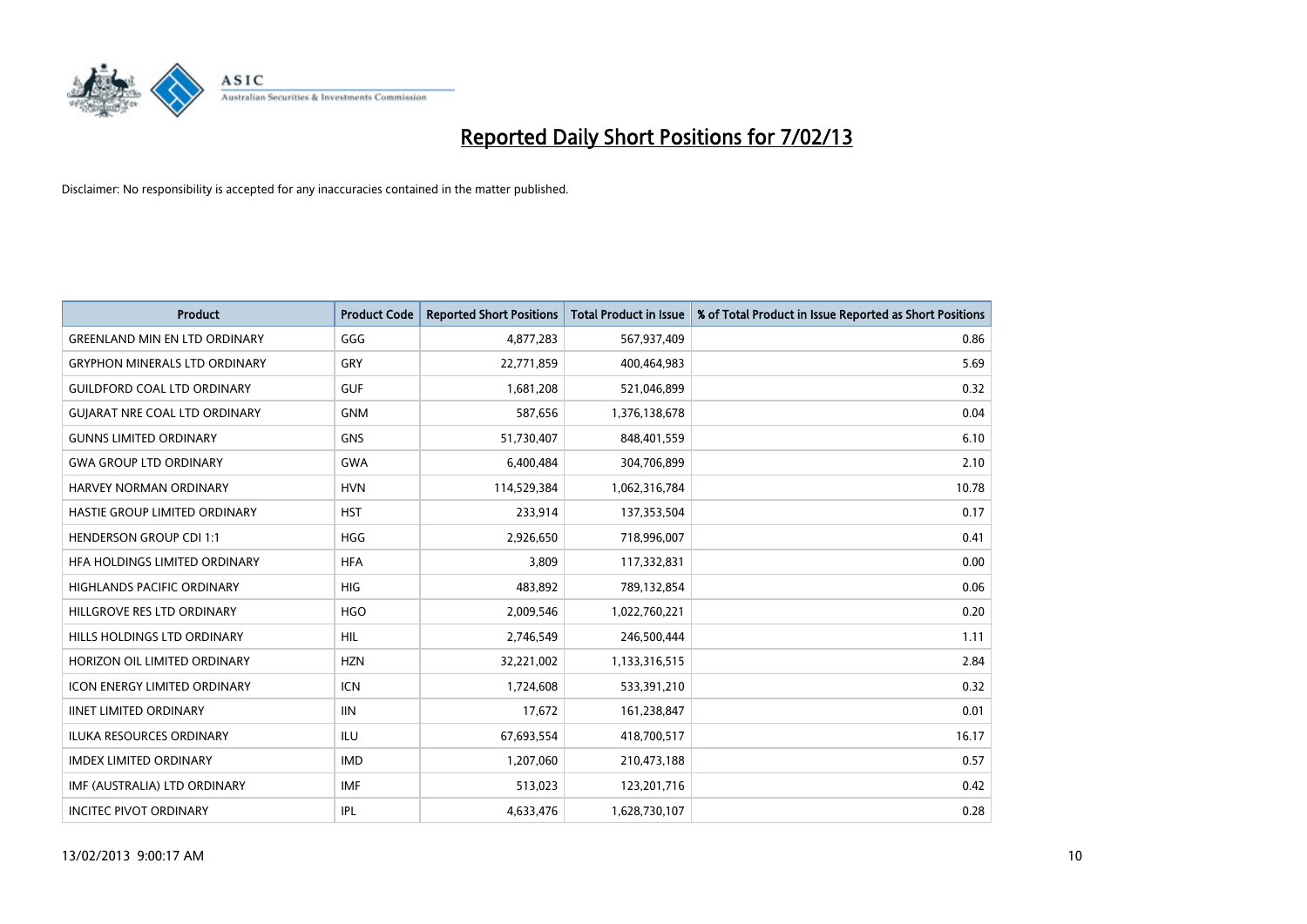

| <b>Product</b>                       | <b>Product Code</b> | <b>Reported Short Positions</b> | <b>Total Product in Issue</b> | % of Total Product in Issue Reported as Short Positions |
|--------------------------------------|---------------------|---------------------------------|-------------------------------|---------------------------------------------------------|
| <b>GREENLAND MIN EN LTD ORDINARY</b> | GGG                 | 4,877,283                       | 567,937,409                   | 0.86                                                    |
| <b>GRYPHON MINERALS LTD ORDINARY</b> | GRY                 | 22,771,859                      | 400,464,983                   | 5.69                                                    |
| <b>GUILDFORD COAL LTD ORDINARY</b>   | <b>GUF</b>          | 1,681,208                       | 521,046,899                   | 0.32                                                    |
| <b>GUIARAT NRE COAL LTD ORDINARY</b> | <b>GNM</b>          | 587,656                         | 1,376,138,678                 | 0.04                                                    |
| <b>GUNNS LIMITED ORDINARY</b>        | <b>GNS</b>          | 51,730,407                      | 848,401,559                   | 6.10                                                    |
| <b>GWA GROUP LTD ORDINARY</b>        | <b>GWA</b>          | 6,400,484                       | 304,706,899                   | 2.10                                                    |
| HARVEY NORMAN ORDINARY               | <b>HVN</b>          | 114,529,384                     | 1,062,316,784                 | 10.78                                                   |
| HASTIE GROUP LIMITED ORDINARY        | <b>HST</b>          | 233,914                         | 137,353,504                   | 0.17                                                    |
| <b>HENDERSON GROUP CDI 1:1</b>       | <b>HGG</b>          | 2,926,650                       | 718,996,007                   | 0.41                                                    |
| HFA HOLDINGS LIMITED ORDINARY        | <b>HFA</b>          | 3,809                           | 117,332,831                   | 0.00                                                    |
| HIGHLANDS PACIFIC ORDINARY           | <b>HIG</b>          | 483,892                         | 789,132,854                   | 0.06                                                    |
| HILLGROVE RES LTD ORDINARY           | <b>HGO</b>          | 2,009,546                       | 1,022,760,221                 | 0.20                                                    |
| HILLS HOLDINGS LTD ORDINARY          | <b>HIL</b>          | 2,746,549                       | 246,500,444                   | 1.11                                                    |
| HORIZON OIL LIMITED ORDINARY         | <b>HZN</b>          | 32,221,002                      | 1,133,316,515                 | 2.84                                                    |
| <b>ICON ENERGY LIMITED ORDINARY</b>  | <b>ICN</b>          | 1,724,608                       | 533,391,210                   | 0.32                                                    |
| <b>IINET LIMITED ORDINARY</b>        | <b>IIN</b>          | 17,672                          | 161,238,847                   | 0.01                                                    |
| <b>ILUKA RESOURCES ORDINARY</b>      | ILU                 | 67,693,554                      | 418,700,517                   | 16.17                                                   |
| <b>IMDEX LIMITED ORDINARY</b>        | <b>IMD</b>          | 1,207,060                       | 210,473,188                   | 0.57                                                    |
| IMF (AUSTRALIA) LTD ORDINARY         | <b>IMF</b>          | 513,023                         | 123,201,716                   | 0.42                                                    |
| <b>INCITEC PIVOT ORDINARY</b>        | <b>IPL</b>          | 4,633,476                       | 1,628,730,107                 | 0.28                                                    |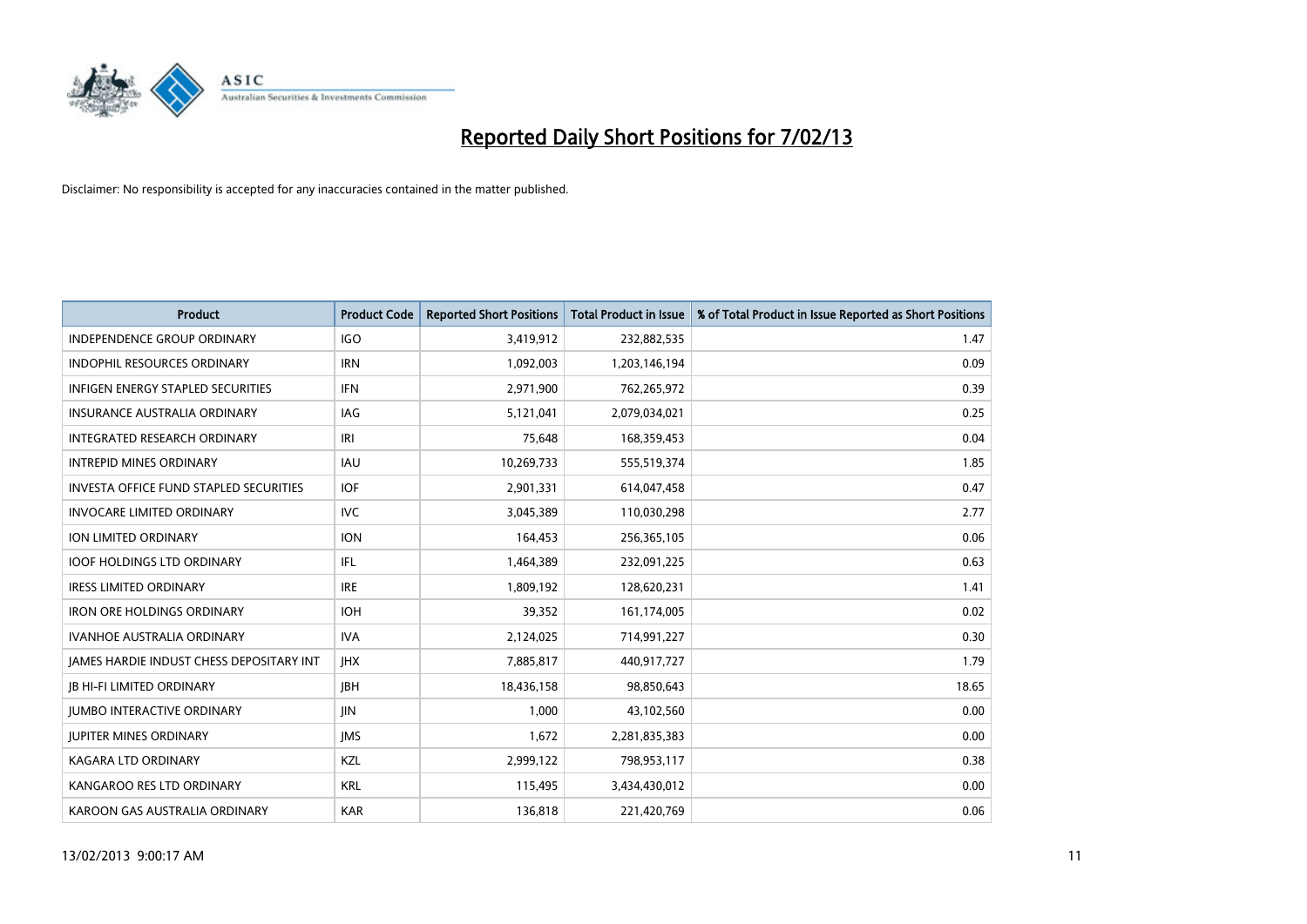

| <b>Product</b>                                  | <b>Product Code</b> | <b>Reported Short Positions</b> | <b>Total Product in Issue</b> | % of Total Product in Issue Reported as Short Positions |
|-------------------------------------------------|---------------------|---------------------------------|-------------------------------|---------------------------------------------------------|
| <b>INDEPENDENCE GROUP ORDINARY</b>              | <b>IGO</b>          | 3,419,912                       | 232,882,535                   | 1.47                                                    |
| INDOPHIL RESOURCES ORDINARY                     | <b>IRN</b>          | 1,092,003                       | 1,203,146,194                 | 0.09                                                    |
| <b>INFIGEN ENERGY STAPLED SECURITIES</b>        | <b>IFN</b>          | 2,971,900                       | 762,265,972                   | 0.39                                                    |
| INSURANCE AUSTRALIA ORDINARY                    | IAG                 | 5,121,041                       | 2,079,034,021                 | 0.25                                                    |
| <b>INTEGRATED RESEARCH ORDINARY</b>             | IRI                 | 75,648                          | 168,359,453                   | 0.04                                                    |
| <b>INTREPID MINES ORDINARY</b>                  | <b>IAU</b>          | 10,269,733                      | 555,519,374                   | 1.85                                                    |
| INVESTA OFFICE FUND STAPLED SECURITIES          | <b>IOF</b>          | 2,901,331                       | 614,047,458                   | 0.47                                                    |
| <b>INVOCARE LIMITED ORDINARY</b>                | <b>IVC</b>          | 3,045,389                       | 110,030,298                   | 2.77                                                    |
| ION LIMITED ORDINARY                            | <b>ION</b>          | 164,453                         | 256,365,105                   | 0.06                                                    |
| <b>IOOF HOLDINGS LTD ORDINARY</b>               | IFL                 | 1,464,389                       | 232,091,225                   | 0.63                                                    |
| <b>IRESS LIMITED ORDINARY</b>                   | <b>IRE</b>          | 1,809,192                       | 128,620,231                   | 1.41                                                    |
| <b>IRON ORE HOLDINGS ORDINARY</b>               | <b>IOH</b>          | 39,352                          | 161,174,005                   | 0.02                                                    |
| <b>IVANHOE AUSTRALIA ORDINARY</b>               | <b>IVA</b>          | 2,124,025                       | 714,991,227                   | 0.30                                                    |
| <b>JAMES HARDIE INDUST CHESS DEPOSITARY INT</b> | <b>IHX</b>          | 7,885,817                       | 440,917,727                   | 1.79                                                    |
| <b>IB HI-FI LIMITED ORDINARY</b>                | <b>IBH</b>          | 18,436,158                      | 98,850,643                    | 18.65                                                   |
| <b>JUMBO INTERACTIVE ORDINARY</b>               | <b>JIN</b>          | 1,000                           | 43,102,560                    | 0.00                                                    |
| <b>JUPITER MINES ORDINARY</b>                   | <b>IMS</b>          | 1,672                           | 2,281,835,383                 | 0.00                                                    |
| KAGARA LTD ORDINARY                             | <b>KZL</b>          | 2,999,122                       | 798,953,117                   | 0.38                                                    |
| KANGAROO RES LTD ORDINARY                       | <b>KRL</b>          | 115,495                         | 3,434,430,012                 | 0.00                                                    |
| KAROON GAS AUSTRALIA ORDINARY                   | <b>KAR</b>          | 136.818                         | 221,420,769                   | 0.06                                                    |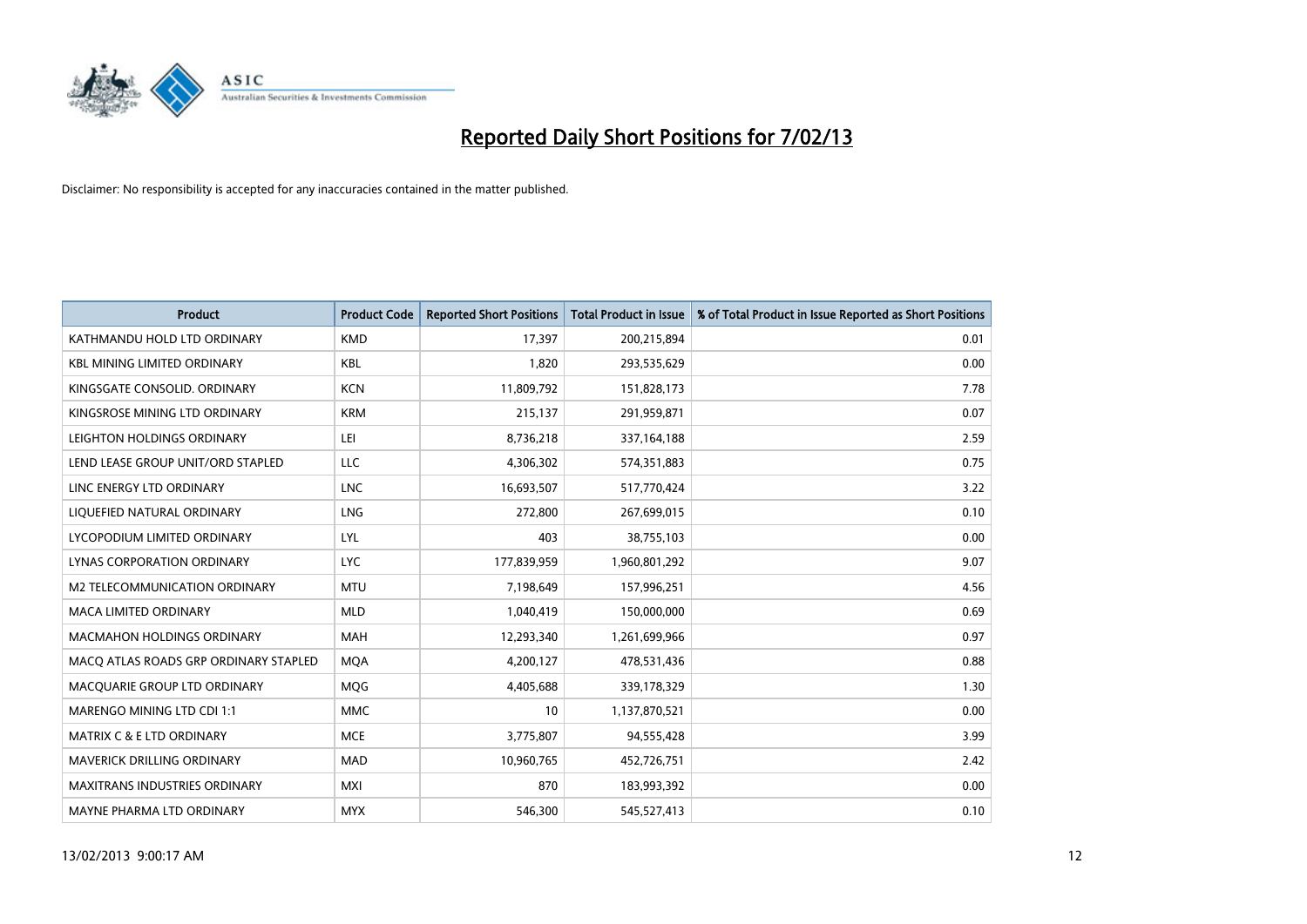

| <b>Product</b>                        | <b>Product Code</b> | <b>Reported Short Positions</b> | <b>Total Product in Issue</b> | % of Total Product in Issue Reported as Short Positions |
|---------------------------------------|---------------------|---------------------------------|-------------------------------|---------------------------------------------------------|
| KATHMANDU HOLD LTD ORDINARY           | <b>KMD</b>          | 17,397                          | 200,215,894                   | 0.01                                                    |
| <b>KBL MINING LIMITED ORDINARY</b>    | <b>KBL</b>          | 1,820                           | 293,535,629                   | 0.00                                                    |
| KINGSGATE CONSOLID. ORDINARY          | <b>KCN</b>          | 11,809,792                      | 151,828,173                   | 7.78                                                    |
| KINGSROSE MINING LTD ORDINARY         | <b>KRM</b>          | 215,137                         | 291,959,871                   | 0.07                                                    |
| LEIGHTON HOLDINGS ORDINARY            | LEI                 | 8,736,218                       | 337, 164, 188                 | 2.59                                                    |
| LEND LEASE GROUP UNIT/ORD STAPLED     | LLC                 | 4,306,302                       | 574,351,883                   | 0.75                                                    |
| LINC ENERGY LTD ORDINARY              | <b>LNC</b>          | 16,693,507                      | 517,770,424                   | 3.22                                                    |
| LIQUEFIED NATURAL ORDINARY            | LNG                 | 272,800                         | 267,699,015                   | 0.10                                                    |
| LYCOPODIUM LIMITED ORDINARY           | LYL                 | 403                             | 38,755,103                    | 0.00                                                    |
| LYNAS CORPORATION ORDINARY            | <b>LYC</b>          | 177,839,959                     | 1,960,801,292                 | 9.07                                                    |
| M2 TELECOMMUNICATION ORDINARY         | <b>MTU</b>          | 7,198,649                       | 157,996,251                   | 4.56                                                    |
| <b>MACA LIMITED ORDINARY</b>          | <b>MLD</b>          | 1,040,419                       | 150,000,000                   | 0.69                                                    |
| <b>MACMAHON HOLDINGS ORDINARY</b>     | <b>MAH</b>          | 12,293,340                      | 1,261,699,966                 | 0.97                                                    |
| MACQ ATLAS ROADS GRP ORDINARY STAPLED | <b>MOA</b>          | 4,200,127                       | 478,531,436                   | 0.88                                                    |
| MACQUARIE GROUP LTD ORDINARY          | <b>MOG</b>          | 4,405,688                       | 339,178,329                   | 1.30                                                    |
| <b>MARENGO MINING LTD CDI 1:1</b>     | <b>MMC</b>          | 10                              | 1,137,870,521                 | 0.00                                                    |
| <b>MATRIX C &amp; E LTD ORDINARY</b>  | <b>MCE</b>          | 3,775,807                       | 94,555,428                    | 3.99                                                    |
| <b>MAVERICK DRILLING ORDINARY</b>     | <b>MAD</b>          | 10,960,765                      | 452,726,751                   | 2.42                                                    |
| <b>MAXITRANS INDUSTRIES ORDINARY</b>  | <b>MXI</b>          | 870                             | 183,993,392                   | 0.00                                                    |
| MAYNE PHARMA LTD ORDINARY             | <b>MYX</b>          | 546.300                         | 545,527,413                   | 0.10                                                    |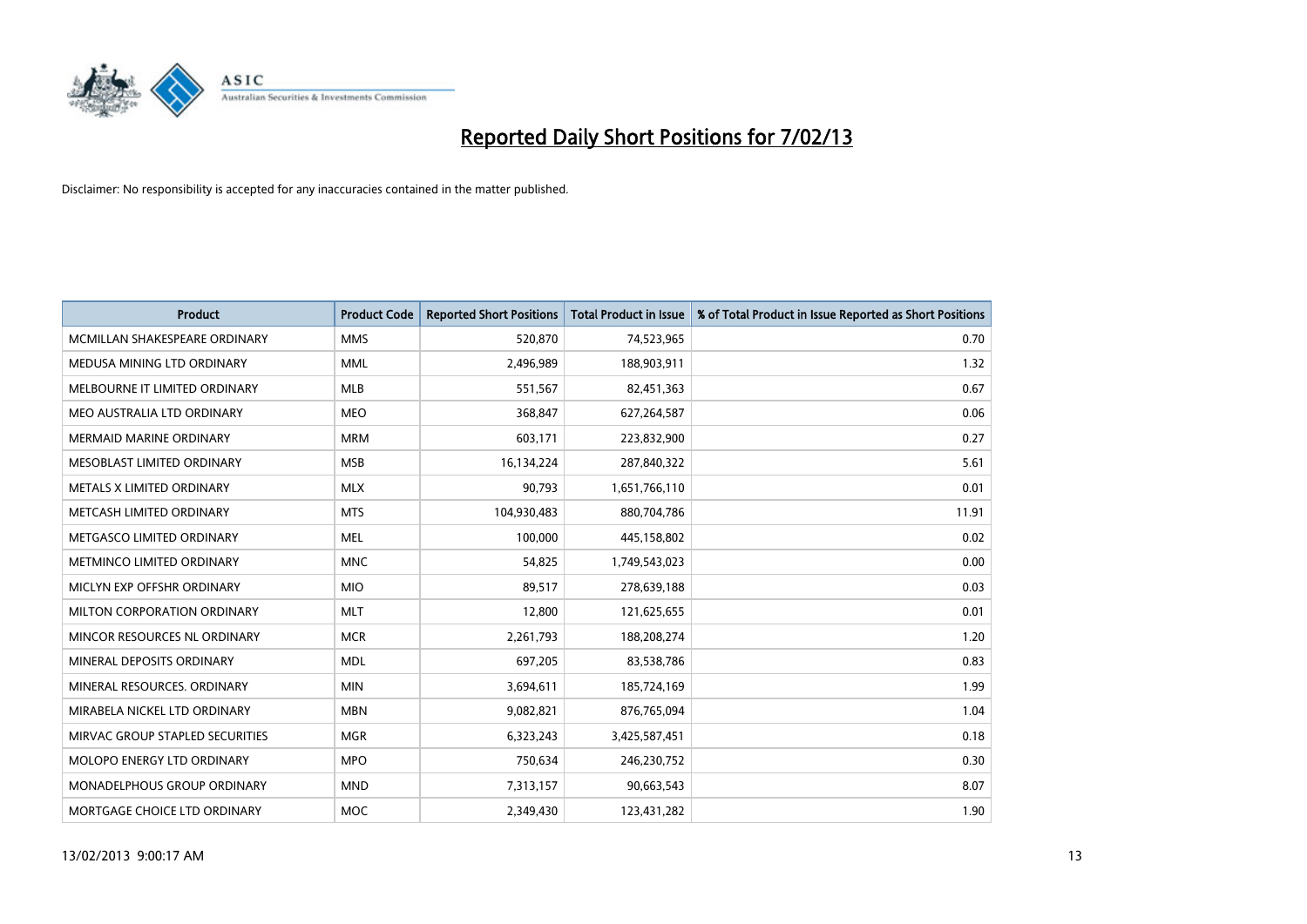

| <b>Product</b>                     | <b>Product Code</b> | <b>Reported Short Positions</b> | <b>Total Product in Issue</b> | % of Total Product in Issue Reported as Short Positions |
|------------------------------------|---------------------|---------------------------------|-------------------------------|---------------------------------------------------------|
| MCMILLAN SHAKESPEARE ORDINARY      | <b>MMS</b>          | 520,870                         | 74,523,965                    | 0.70                                                    |
| MEDUSA MINING LTD ORDINARY         | <b>MML</b>          | 2,496,989                       | 188,903,911                   | 1.32                                                    |
| MELBOURNE IT LIMITED ORDINARY      | <b>MLB</b>          | 551,567                         | 82,451,363                    | 0.67                                                    |
| MEO AUSTRALIA LTD ORDINARY         | <b>MEO</b>          | 368,847                         | 627,264,587                   | 0.06                                                    |
| <b>MERMAID MARINE ORDINARY</b>     | <b>MRM</b>          | 603,171                         | 223,832,900                   | 0.27                                                    |
| MESOBLAST LIMITED ORDINARY         | <b>MSB</b>          | 16,134,224                      | 287,840,322                   | 5.61                                                    |
| METALS X LIMITED ORDINARY          | <b>MLX</b>          | 90,793                          | 1,651,766,110                 | 0.01                                                    |
| METCASH LIMITED ORDINARY           | <b>MTS</b>          | 104,930,483                     | 880,704,786                   | 11.91                                                   |
| METGASCO LIMITED ORDINARY          | <b>MEL</b>          | 100,000                         | 445,158,802                   | 0.02                                                    |
| METMINCO LIMITED ORDINARY          | <b>MNC</b>          | 54,825                          | 1,749,543,023                 | 0.00                                                    |
| MICLYN EXP OFFSHR ORDINARY         | <b>MIO</b>          | 89,517                          | 278,639,188                   | 0.03                                                    |
| MILTON CORPORATION ORDINARY        | <b>MLT</b>          | 12,800                          | 121,625,655                   | 0.01                                                    |
| MINCOR RESOURCES NL ORDINARY       | <b>MCR</b>          | 2,261,793                       | 188,208,274                   | 1.20                                                    |
| MINERAL DEPOSITS ORDINARY          | <b>MDL</b>          | 697,205                         | 83,538,786                    | 0.83                                                    |
| MINERAL RESOURCES, ORDINARY        | <b>MIN</b>          | 3,694,611                       | 185,724,169                   | 1.99                                                    |
| MIRABELA NICKEL LTD ORDINARY       | <b>MBN</b>          | 9,082,821                       | 876,765,094                   | 1.04                                                    |
| MIRVAC GROUP STAPLED SECURITIES    | <b>MGR</b>          | 6,323,243                       | 3,425,587,451                 | 0.18                                                    |
| MOLOPO ENERGY LTD ORDINARY         | <b>MPO</b>          | 750,634                         | 246,230,752                   | 0.30                                                    |
| <b>MONADELPHOUS GROUP ORDINARY</b> | <b>MND</b>          | 7,313,157                       | 90,663,543                    | 8.07                                                    |
| MORTGAGE CHOICE LTD ORDINARY       | <b>MOC</b>          | 2,349,430                       | 123,431,282                   | 1.90                                                    |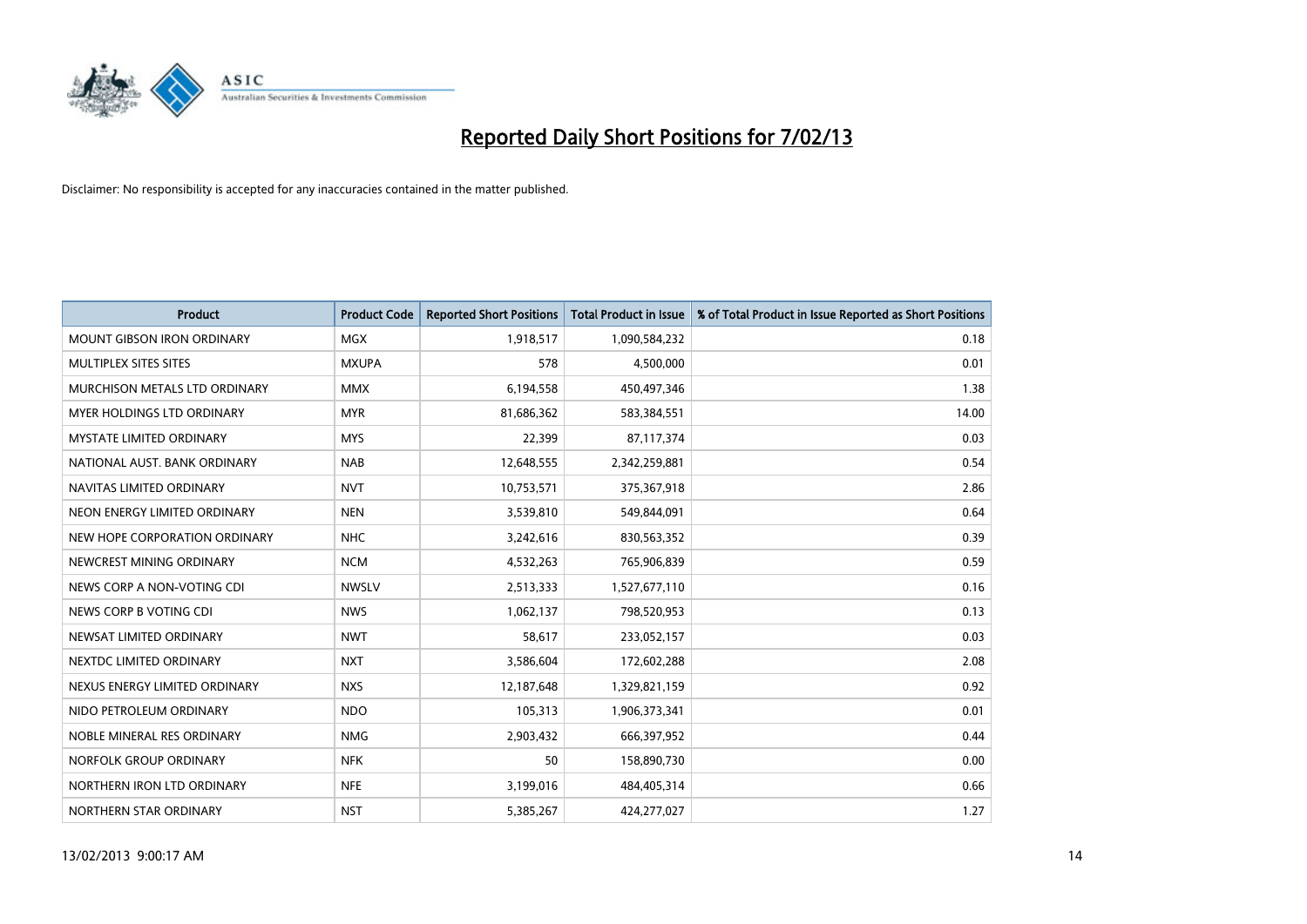

| <b>Product</b>                    | <b>Product Code</b> | <b>Reported Short Positions</b> | <b>Total Product in Issue</b> | % of Total Product in Issue Reported as Short Positions |
|-----------------------------------|---------------------|---------------------------------|-------------------------------|---------------------------------------------------------|
| <b>MOUNT GIBSON IRON ORDINARY</b> | <b>MGX</b>          | 1,918,517                       | 1,090,584,232                 | 0.18                                                    |
| MULTIPLEX SITES SITES             | <b>MXUPA</b>        | 578                             | 4,500,000                     | 0.01                                                    |
| MURCHISON METALS LTD ORDINARY     | <b>MMX</b>          | 6,194,558                       | 450,497,346                   | 1.38                                                    |
| MYER HOLDINGS LTD ORDINARY        | <b>MYR</b>          | 81,686,362                      | 583,384,551                   | 14.00                                                   |
| <b>MYSTATE LIMITED ORDINARY</b>   | <b>MYS</b>          | 22,399                          | 87,117,374                    | 0.03                                                    |
| NATIONAL AUST, BANK ORDINARY      | <b>NAB</b>          | 12,648,555                      | 2,342,259,881                 | 0.54                                                    |
| NAVITAS LIMITED ORDINARY          | <b>NVT</b>          | 10,753,571                      | 375,367,918                   | 2.86                                                    |
| NEON ENERGY LIMITED ORDINARY      | <b>NEN</b>          | 3,539,810                       | 549,844,091                   | 0.64                                                    |
| NEW HOPE CORPORATION ORDINARY     | <b>NHC</b>          | 3,242,616                       | 830,563,352                   | 0.39                                                    |
| NEWCREST MINING ORDINARY          | <b>NCM</b>          | 4,532,263                       | 765,906,839                   | 0.59                                                    |
| NEWS CORP A NON-VOTING CDI        | <b>NWSLV</b>        | 2,513,333                       | 1,527,677,110                 | 0.16                                                    |
| NEWS CORP B VOTING CDI            | <b>NWS</b>          | 1,062,137                       | 798,520,953                   | 0.13                                                    |
| NEWSAT LIMITED ORDINARY           | <b>NWT</b>          | 58,617                          | 233,052,157                   | 0.03                                                    |
| NEXTDC LIMITED ORDINARY           | <b>NXT</b>          | 3,586,604                       | 172,602,288                   | 2.08                                                    |
| NEXUS ENERGY LIMITED ORDINARY     | <b>NXS</b>          | 12,187,648                      | 1,329,821,159                 | 0.92                                                    |
| NIDO PETROLEUM ORDINARY           | <b>NDO</b>          | 105,313                         | 1,906,373,341                 | 0.01                                                    |
| NOBLE MINERAL RES ORDINARY        | <b>NMG</b>          | 2,903,432                       | 666,397,952                   | 0.44                                                    |
| NORFOLK GROUP ORDINARY            | <b>NFK</b>          | 50                              | 158,890,730                   | 0.00                                                    |
| NORTHERN IRON LTD ORDINARY        | <b>NFE</b>          | 3,199,016                       | 484,405,314                   | 0.66                                                    |
| NORTHERN STAR ORDINARY            | <b>NST</b>          | 5,385,267                       | 424,277,027                   | 1.27                                                    |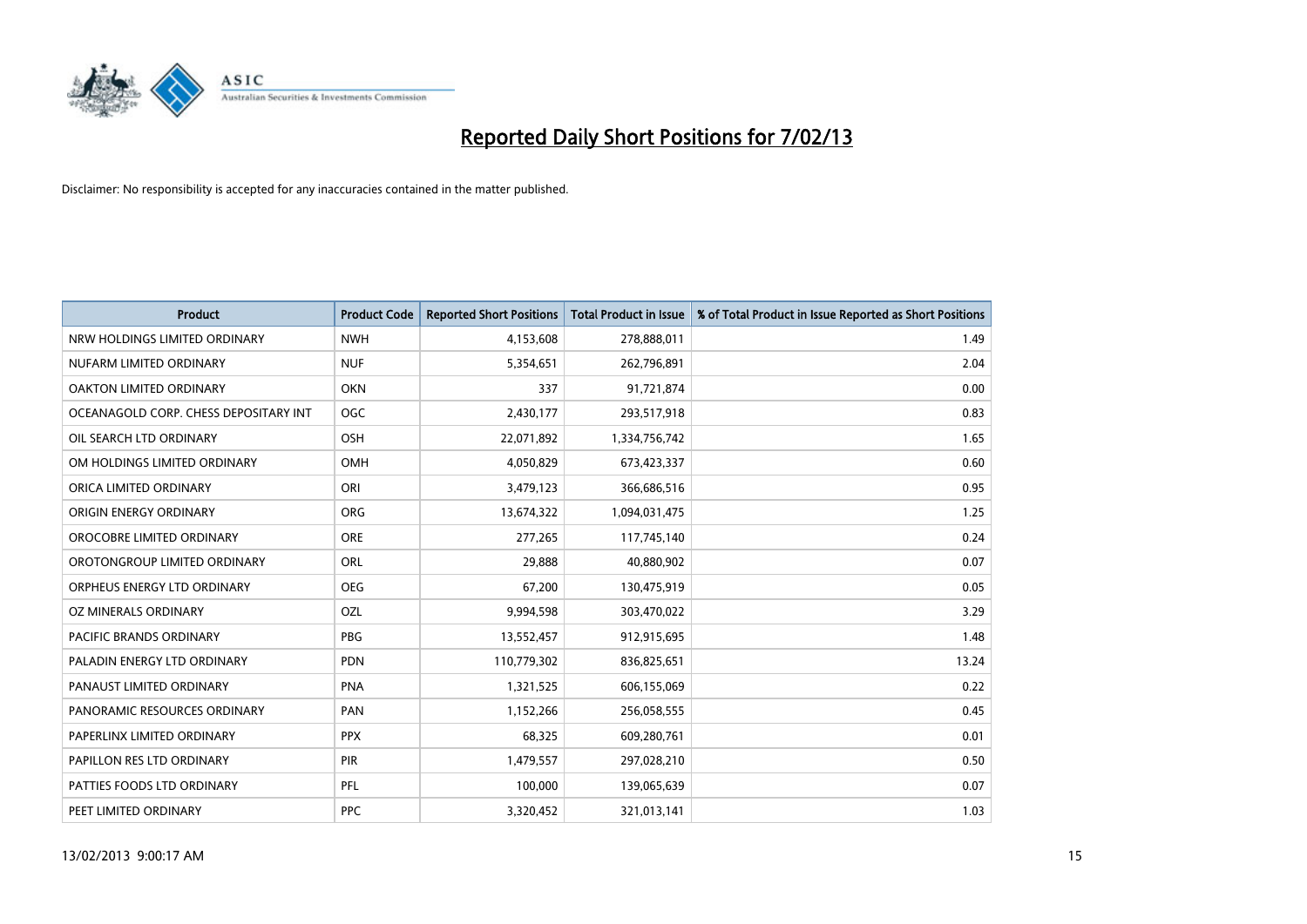

| <b>Product</b>                        | <b>Product Code</b> | <b>Reported Short Positions</b> | <b>Total Product in Issue</b> | % of Total Product in Issue Reported as Short Positions |
|---------------------------------------|---------------------|---------------------------------|-------------------------------|---------------------------------------------------------|
| NRW HOLDINGS LIMITED ORDINARY         | <b>NWH</b>          | 4,153,608                       | 278,888,011                   | 1.49                                                    |
| NUFARM LIMITED ORDINARY               | <b>NUF</b>          | 5,354,651                       | 262,796,891                   | 2.04                                                    |
| OAKTON LIMITED ORDINARY               | <b>OKN</b>          | 337                             | 91,721,874                    | 0.00                                                    |
| OCEANAGOLD CORP. CHESS DEPOSITARY INT | <b>OGC</b>          | 2,430,177                       | 293,517,918                   | 0.83                                                    |
| OIL SEARCH LTD ORDINARY               | <b>OSH</b>          | 22,071,892                      | 1,334,756,742                 | 1.65                                                    |
| OM HOLDINGS LIMITED ORDINARY          | OMH                 | 4,050,829                       | 673,423,337                   | 0.60                                                    |
| ORICA LIMITED ORDINARY                | ORI                 | 3,479,123                       | 366,686,516                   | 0.95                                                    |
| ORIGIN ENERGY ORDINARY                | <b>ORG</b>          | 13,674,322                      | 1,094,031,475                 | 1.25                                                    |
| OROCOBRE LIMITED ORDINARY             | <b>ORE</b>          | 277,265                         | 117,745,140                   | 0.24                                                    |
| OROTONGROUP LIMITED ORDINARY          | ORL                 | 29,888                          | 40,880,902                    | 0.07                                                    |
| ORPHEUS ENERGY LTD ORDINARY           | <b>OEG</b>          | 67,200                          | 130,475,919                   | 0.05                                                    |
| OZ MINERALS ORDINARY                  | OZL                 | 9,994,598                       | 303,470,022                   | 3.29                                                    |
| PACIFIC BRANDS ORDINARY               | <b>PBG</b>          | 13,552,457                      | 912,915,695                   | 1.48                                                    |
| PALADIN ENERGY LTD ORDINARY           | <b>PDN</b>          | 110,779,302                     | 836,825,651                   | 13.24                                                   |
| PANAUST LIMITED ORDINARY              | PNA                 | 1,321,525                       | 606,155,069                   | 0.22                                                    |
| PANORAMIC RESOURCES ORDINARY          | PAN                 | 1,152,266                       | 256,058,555                   | 0.45                                                    |
| PAPERLINX LIMITED ORDINARY            | <b>PPX</b>          | 68,325                          | 609,280,761                   | 0.01                                                    |
| PAPILLON RES LTD ORDINARY             | PIR                 | 1,479,557                       | 297,028,210                   | 0.50                                                    |
| PATTIES FOODS LTD ORDINARY            | PFL                 | 100,000                         | 139,065,639                   | 0.07                                                    |
| PEET LIMITED ORDINARY                 | <b>PPC</b>          | 3,320,452                       | 321,013,141                   | 1.03                                                    |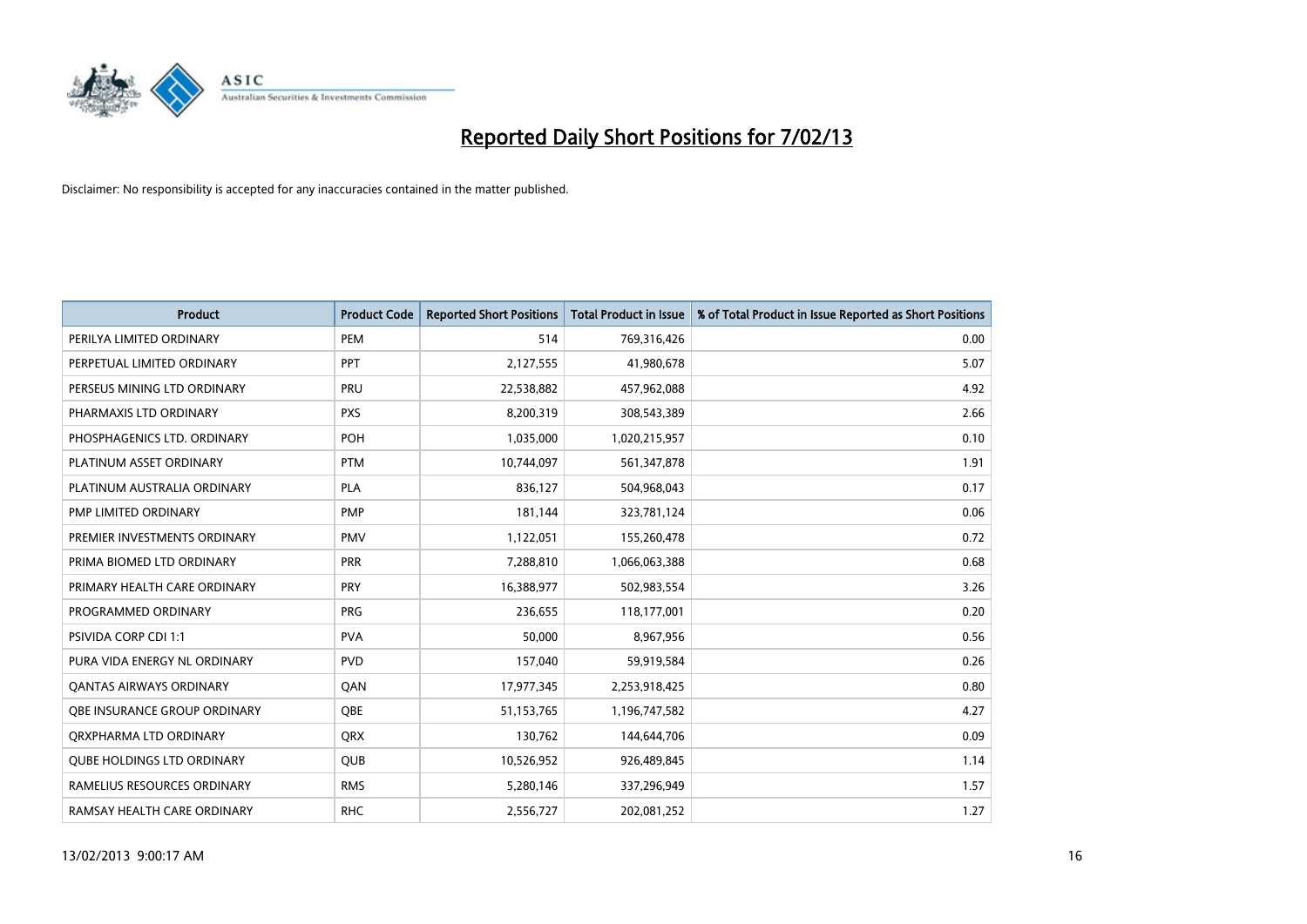

| <b>Product</b>                      | <b>Product Code</b> | <b>Reported Short Positions</b> | <b>Total Product in Issue</b> | % of Total Product in Issue Reported as Short Positions |
|-------------------------------------|---------------------|---------------------------------|-------------------------------|---------------------------------------------------------|
| PERILYA LIMITED ORDINARY            | PEM                 | 514                             | 769,316,426                   | 0.00                                                    |
| PERPETUAL LIMITED ORDINARY          | <b>PPT</b>          | 2,127,555                       | 41,980,678                    | 5.07                                                    |
| PERSEUS MINING LTD ORDINARY         | PRU                 | 22,538,882                      | 457,962,088                   | 4.92                                                    |
| PHARMAXIS LTD ORDINARY              | <b>PXS</b>          | 8,200,319                       | 308,543,389                   | 2.66                                                    |
| PHOSPHAGENICS LTD. ORDINARY         | POH                 | 1,035,000                       | 1,020,215,957                 | 0.10                                                    |
| PLATINUM ASSET ORDINARY             | <b>PTM</b>          | 10,744,097                      | 561,347,878                   | 1.91                                                    |
| PLATINUM AUSTRALIA ORDINARY         | <b>PLA</b>          | 836,127                         | 504,968,043                   | 0.17                                                    |
| PMP LIMITED ORDINARY                | <b>PMP</b>          | 181,144                         | 323,781,124                   | 0.06                                                    |
| PREMIER INVESTMENTS ORDINARY        | <b>PMV</b>          | 1,122,051                       | 155,260,478                   | 0.72                                                    |
| PRIMA BIOMED LTD ORDINARY           | <b>PRR</b>          | 7,288,810                       | 1,066,063,388                 | 0.68                                                    |
| PRIMARY HEALTH CARE ORDINARY        | <b>PRY</b>          | 16,388,977                      | 502,983,554                   | 3.26                                                    |
| PROGRAMMED ORDINARY                 | <b>PRG</b>          | 236,655                         | 118,177,001                   | 0.20                                                    |
| PSIVIDA CORP CDI 1:1                | <b>PVA</b>          | 50,000                          | 8,967,956                     | 0.56                                                    |
| PURA VIDA ENERGY NL ORDINARY        | <b>PVD</b>          | 157,040                         | 59,919,584                    | 0.26                                                    |
| <b>QANTAS AIRWAYS ORDINARY</b>      | QAN                 | 17,977,345                      | 2,253,918,425                 | 0.80                                                    |
| <b>OBE INSURANCE GROUP ORDINARY</b> | <b>OBE</b>          | 51,153,765                      | 1,196,747,582                 | 4.27                                                    |
| ORXPHARMA LTD ORDINARY              | <b>QRX</b>          | 130,762                         | 144,644,706                   | 0.09                                                    |
| <b>QUBE HOLDINGS LTD ORDINARY</b>   | QUB                 | 10,526,952                      | 926,489,845                   | 1.14                                                    |
| RAMELIUS RESOURCES ORDINARY         | <b>RMS</b>          | 5,280,146                       | 337,296,949                   | 1.57                                                    |
| RAMSAY HEALTH CARE ORDINARY         | <b>RHC</b>          | 2,556,727                       | 202,081,252                   | 1.27                                                    |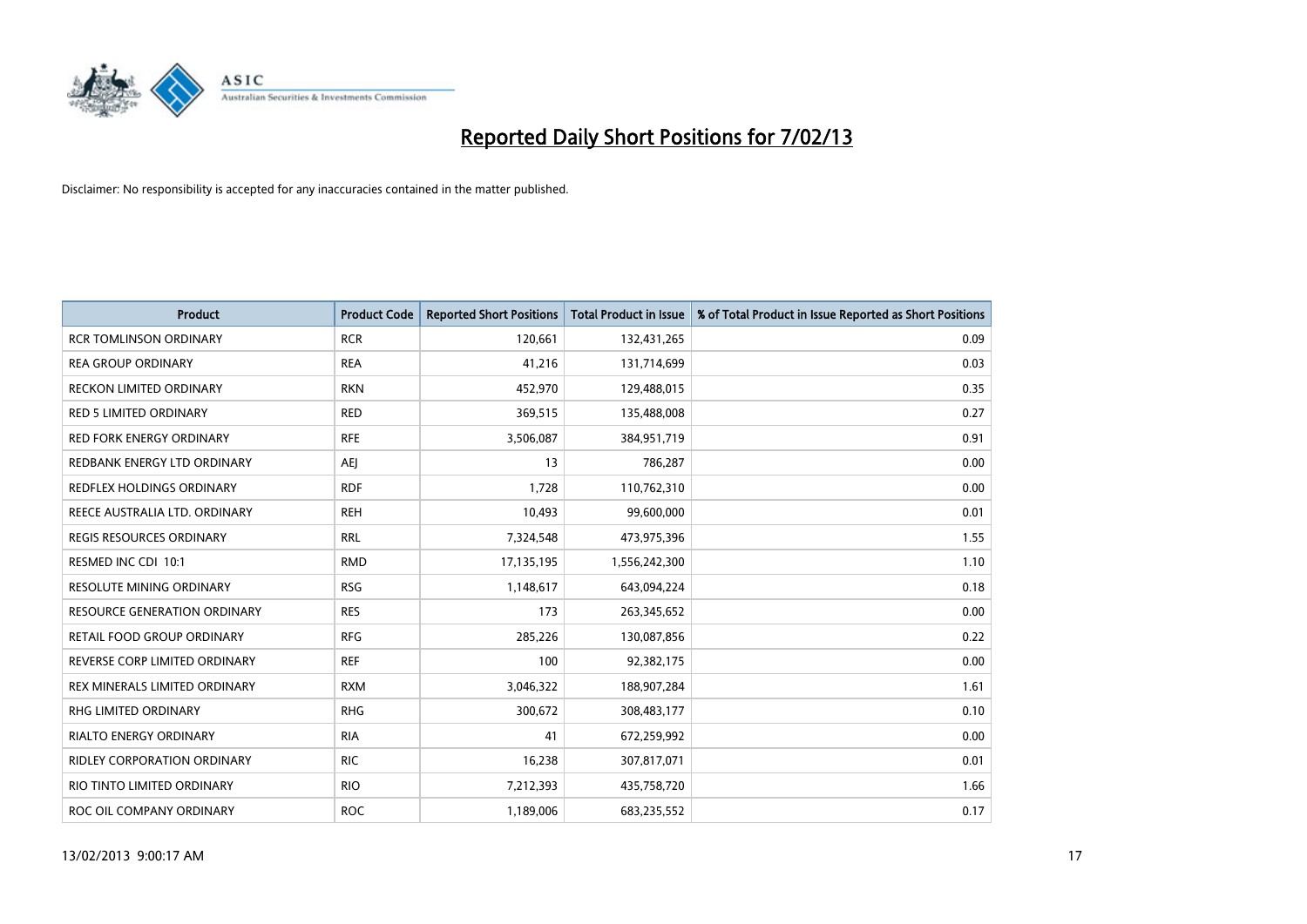

| <b>Product</b>                      | <b>Product Code</b> | <b>Reported Short Positions</b> | <b>Total Product in Issue</b> | % of Total Product in Issue Reported as Short Positions |
|-------------------------------------|---------------------|---------------------------------|-------------------------------|---------------------------------------------------------|
| <b>RCR TOMLINSON ORDINARY</b>       | <b>RCR</b>          | 120,661                         | 132,431,265                   | 0.09                                                    |
| <b>REA GROUP ORDINARY</b>           | <b>REA</b>          | 41,216                          | 131,714,699                   | 0.03                                                    |
| RECKON LIMITED ORDINARY             | <b>RKN</b>          | 452,970                         | 129,488,015                   | 0.35                                                    |
| RED 5 LIMITED ORDINARY              | <b>RED</b>          | 369,515                         | 135,488,008                   | 0.27                                                    |
| <b>RED FORK ENERGY ORDINARY</b>     | <b>RFE</b>          | 3,506,087                       | 384,951,719                   | 0.91                                                    |
| REDBANK ENERGY LTD ORDINARY         | AEJ                 | 13                              | 786,287                       | 0.00                                                    |
| <b>REDFLEX HOLDINGS ORDINARY</b>    | <b>RDF</b>          | 1.728                           | 110,762,310                   | 0.00                                                    |
| REECE AUSTRALIA LTD. ORDINARY       | <b>REH</b>          | 10,493                          | 99,600,000                    | 0.01                                                    |
| REGIS RESOURCES ORDINARY            | <b>RRL</b>          | 7,324,548                       | 473,975,396                   | 1.55                                                    |
| RESMED INC CDI 10:1                 | <b>RMD</b>          | 17,135,195                      | 1,556,242,300                 | 1.10                                                    |
| <b>RESOLUTE MINING ORDINARY</b>     | <b>RSG</b>          | 1,148,617                       | 643,094,224                   | 0.18                                                    |
| <b>RESOURCE GENERATION ORDINARY</b> | <b>RES</b>          | 173                             | 263,345,652                   | 0.00                                                    |
| RETAIL FOOD GROUP ORDINARY          | <b>RFG</b>          | 285,226                         | 130,087,856                   | 0.22                                                    |
| REVERSE CORP LIMITED ORDINARY       | <b>REF</b>          | 100                             | 92,382,175                    | 0.00                                                    |
| REX MINERALS LIMITED ORDINARY       | <b>RXM</b>          | 3,046,322                       | 188,907,284                   | 1.61                                                    |
| <b>RHG LIMITED ORDINARY</b>         | <b>RHG</b>          | 300,672                         | 308,483,177                   | 0.10                                                    |
| <b>RIALTO ENERGY ORDINARY</b>       | <b>RIA</b>          | 41                              | 672,259,992                   | 0.00                                                    |
| RIDLEY CORPORATION ORDINARY         | <b>RIC</b>          | 16,238                          | 307,817,071                   | 0.01                                                    |
| RIO TINTO LIMITED ORDINARY          | <b>RIO</b>          | 7,212,393                       | 435,758,720                   | 1.66                                                    |
| ROC OIL COMPANY ORDINARY            | <b>ROC</b>          | 1,189,006                       | 683,235,552                   | 0.17                                                    |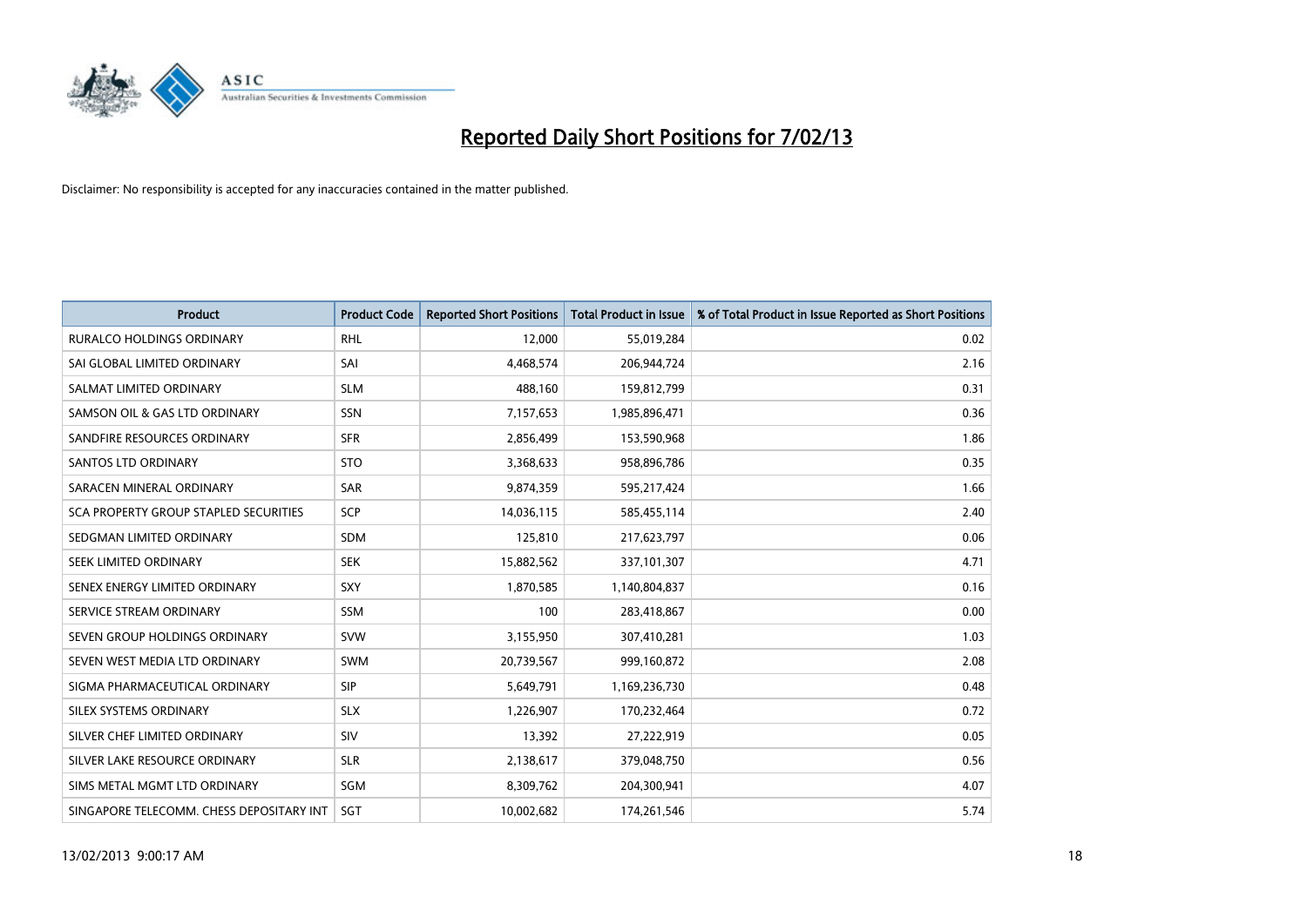

| <b>Product</b>                               | <b>Product Code</b> | <b>Reported Short Positions</b> | <b>Total Product in Issue</b> | % of Total Product in Issue Reported as Short Positions |
|----------------------------------------------|---------------------|---------------------------------|-------------------------------|---------------------------------------------------------|
| <b>RURALCO HOLDINGS ORDINARY</b>             | <b>RHL</b>          | 12,000                          | 55,019,284                    | 0.02                                                    |
| SAI GLOBAL LIMITED ORDINARY                  | SAI                 | 4,468,574                       | 206,944,724                   | 2.16                                                    |
| SALMAT LIMITED ORDINARY                      | <b>SLM</b>          | 488,160                         | 159,812,799                   | 0.31                                                    |
| SAMSON OIL & GAS LTD ORDINARY                | SSN                 | 7,157,653                       | 1,985,896,471                 | 0.36                                                    |
| SANDFIRE RESOURCES ORDINARY                  | <b>SFR</b>          | 2,856,499                       | 153,590,968                   | 1.86                                                    |
| <b>SANTOS LTD ORDINARY</b>                   | <b>STO</b>          | 3,368,633                       | 958,896,786                   | 0.35                                                    |
| SARACEN MINERAL ORDINARY                     | <b>SAR</b>          | 9,874,359                       | 595,217,424                   | 1.66                                                    |
| <b>SCA PROPERTY GROUP STAPLED SECURITIES</b> | SCP                 | 14,036,115                      | 585,455,114                   | 2.40                                                    |
| SEDGMAN LIMITED ORDINARY                     | SDM                 | 125,810                         | 217,623,797                   | 0.06                                                    |
| SEEK LIMITED ORDINARY                        | <b>SEK</b>          | 15,882,562                      | 337,101,307                   | 4.71                                                    |
| SENEX ENERGY LIMITED ORDINARY                | <b>SXY</b>          | 1,870,585                       | 1,140,804,837                 | 0.16                                                    |
| SERVICE STREAM ORDINARY                      | <b>SSM</b>          | 100                             | 283,418,867                   | 0.00                                                    |
| SEVEN GROUP HOLDINGS ORDINARY                | <b>SVW</b>          | 3,155,950                       | 307,410,281                   | 1.03                                                    |
| SEVEN WEST MEDIA LTD ORDINARY                | <b>SWM</b>          | 20,739,567                      | 999,160,872                   | 2.08                                                    |
| SIGMA PHARMACEUTICAL ORDINARY                | <b>SIP</b>          | 5,649,791                       | 1,169,236,730                 | 0.48                                                    |
| SILEX SYSTEMS ORDINARY                       | <b>SLX</b>          | 1,226,907                       | 170,232,464                   | 0.72                                                    |
| SILVER CHEF LIMITED ORDINARY                 | SIV                 | 13,392                          | 27,222,919                    | 0.05                                                    |
| SILVER LAKE RESOURCE ORDINARY                | <b>SLR</b>          | 2,138,617                       | 379,048,750                   | 0.56                                                    |
| SIMS METAL MGMT LTD ORDINARY                 | SGM                 | 8,309,762                       | 204,300,941                   | 4.07                                                    |
| SINGAPORE TELECOMM. CHESS DEPOSITARY INT     | <b>SGT</b>          | 10,002,682                      | 174,261,546                   | 5.74                                                    |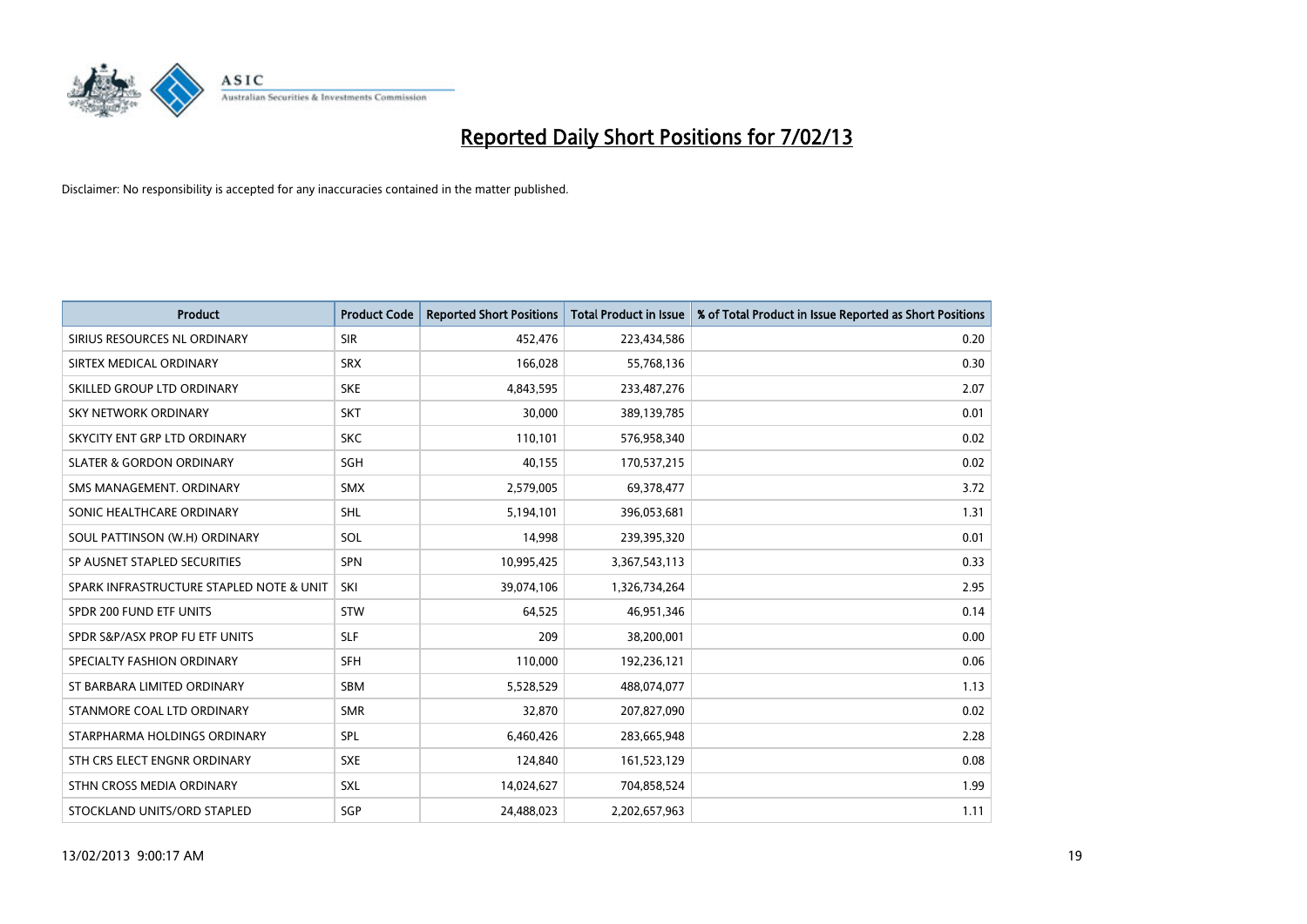

| <b>Product</b>                           | <b>Product Code</b> | <b>Reported Short Positions</b> | <b>Total Product in Issue</b> | % of Total Product in Issue Reported as Short Positions |
|------------------------------------------|---------------------|---------------------------------|-------------------------------|---------------------------------------------------------|
| SIRIUS RESOURCES NL ORDINARY             | <b>SIR</b>          | 452,476                         | 223,434,586                   | 0.20                                                    |
| SIRTEX MEDICAL ORDINARY                  | <b>SRX</b>          | 166,028                         | 55,768,136                    | 0.30                                                    |
| SKILLED GROUP LTD ORDINARY               | <b>SKE</b>          | 4,843,595                       | 233,487,276                   | 2.07                                                    |
| SKY NETWORK ORDINARY                     | <b>SKT</b>          | 30,000                          | 389,139,785                   | 0.01                                                    |
| SKYCITY ENT GRP LTD ORDINARY             | <b>SKC</b>          | 110,101                         | 576,958,340                   | 0.02                                                    |
| <b>SLATER &amp; GORDON ORDINARY</b>      | <b>SGH</b>          | 40,155                          | 170,537,215                   | 0.02                                                    |
| SMS MANAGEMENT, ORDINARY                 | <b>SMX</b>          | 2,579,005                       | 69,378,477                    | 3.72                                                    |
| SONIC HEALTHCARE ORDINARY                | <b>SHL</b>          | 5,194,101                       | 396,053,681                   | 1.31                                                    |
| SOUL PATTINSON (W.H) ORDINARY            | SOL                 | 14,998                          | 239,395,320                   | 0.01                                                    |
| SP AUSNET STAPLED SECURITIES             | <b>SPN</b>          | 10,995,425                      | 3,367,543,113                 | 0.33                                                    |
| SPARK INFRASTRUCTURE STAPLED NOTE & UNIT | SKI                 | 39,074,106                      | 1,326,734,264                 | 2.95                                                    |
| SPDR 200 FUND ETF UNITS                  | <b>STW</b>          | 64,525                          | 46,951,346                    | 0.14                                                    |
| SPDR S&P/ASX PROP FU ETF UNITS           | <b>SLF</b>          | 209                             | 38,200,001                    | 0.00                                                    |
| SPECIALTY FASHION ORDINARY               | <b>SFH</b>          | 110,000                         | 192,236,121                   | 0.06                                                    |
| ST BARBARA LIMITED ORDINARY              | SBM                 | 5,528,529                       | 488,074,077                   | 1.13                                                    |
| STANMORE COAL LTD ORDINARY               | <b>SMR</b>          | 32,870                          | 207,827,090                   | 0.02                                                    |
| STARPHARMA HOLDINGS ORDINARY             | SPL                 | 6,460,426                       | 283,665,948                   | 2.28                                                    |
| STH CRS ELECT ENGNR ORDINARY             | <b>SXE</b>          | 124,840                         | 161,523,129                   | 0.08                                                    |
| STHN CROSS MEDIA ORDINARY                | <b>SXL</b>          | 14,024,627                      | 704,858,524                   | 1.99                                                    |
| STOCKLAND UNITS/ORD STAPLED              | SGP                 | 24,488,023                      | 2,202,657,963                 | 1.11                                                    |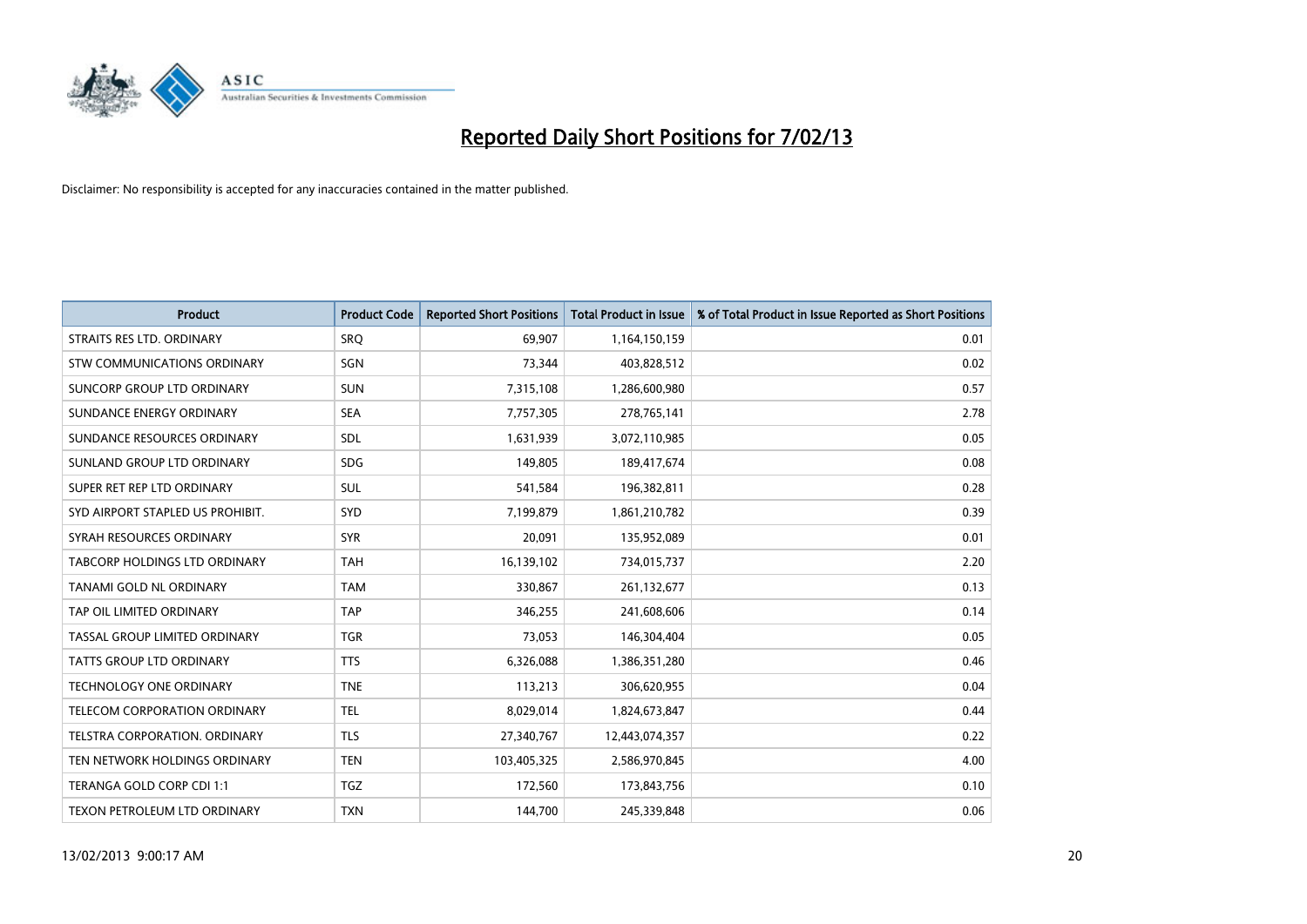

| <b>Product</b>                       | <b>Product Code</b> | <b>Reported Short Positions</b> | <b>Total Product in Issue</b> | % of Total Product in Issue Reported as Short Positions |
|--------------------------------------|---------------------|---------------------------------|-------------------------------|---------------------------------------------------------|
| STRAITS RES LTD. ORDINARY            | SRQ                 | 69,907                          | 1,164,150,159                 | 0.01                                                    |
| STW COMMUNICATIONS ORDINARY          | SGN                 | 73,344                          | 403,828,512                   | 0.02                                                    |
| SUNCORP GROUP LTD ORDINARY           | <b>SUN</b>          | 7,315,108                       | 1,286,600,980                 | 0.57                                                    |
| SUNDANCE ENERGY ORDINARY             | <b>SEA</b>          | 7,757,305                       | 278,765,141                   | 2.78                                                    |
| SUNDANCE RESOURCES ORDINARY          | <b>SDL</b>          | 1,631,939                       | 3,072,110,985                 | 0.05                                                    |
| SUNLAND GROUP LTD ORDINARY           | <b>SDG</b>          | 149,805                         | 189,417,674                   | 0.08                                                    |
| SUPER RET REP LTD ORDINARY           | <b>SUL</b>          | 541,584                         | 196,382,811                   | 0.28                                                    |
| SYD AIRPORT STAPLED US PROHIBIT.     | <b>SYD</b>          | 7,199,879                       | 1,861,210,782                 | 0.39                                                    |
| SYRAH RESOURCES ORDINARY             | <b>SYR</b>          | 20,091                          | 135,952,089                   | 0.01                                                    |
| <b>TABCORP HOLDINGS LTD ORDINARY</b> | <b>TAH</b>          | 16,139,102                      | 734,015,737                   | 2.20                                                    |
| TANAMI GOLD NL ORDINARY              | <b>TAM</b>          | 330,867                         | 261,132,677                   | 0.13                                                    |
| TAP OIL LIMITED ORDINARY             | <b>TAP</b>          | 346,255                         | 241,608,606                   | 0.14                                                    |
| TASSAL GROUP LIMITED ORDINARY        | <b>TGR</b>          | 73,053                          | 146,304,404                   | 0.05                                                    |
| <b>TATTS GROUP LTD ORDINARY</b>      | <b>TTS</b>          | 6,326,088                       | 1,386,351,280                 | 0.46                                                    |
| <b>TECHNOLOGY ONE ORDINARY</b>       | <b>TNE</b>          | 113,213                         | 306,620,955                   | 0.04                                                    |
| TELECOM CORPORATION ORDINARY         | <b>TEL</b>          | 8,029,014                       | 1,824,673,847                 | 0.44                                                    |
| TELSTRA CORPORATION. ORDINARY        | <b>TLS</b>          | 27,340,767                      | 12,443,074,357                | 0.22                                                    |
| TEN NETWORK HOLDINGS ORDINARY        | <b>TEN</b>          | 103,405,325                     | 2,586,970,845                 | 4.00                                                    |
| TERANGA GOLD CORP CDI 1:1            | <b>TGZ</b>          | 172,560                         | 173,843,756                   | 0.10                                                    |
| TEXON PETROLEUM LTD ORDINARY         | <b>TXN</b>          | 144,700                         | 245,339,848                   | 0.06                                                    |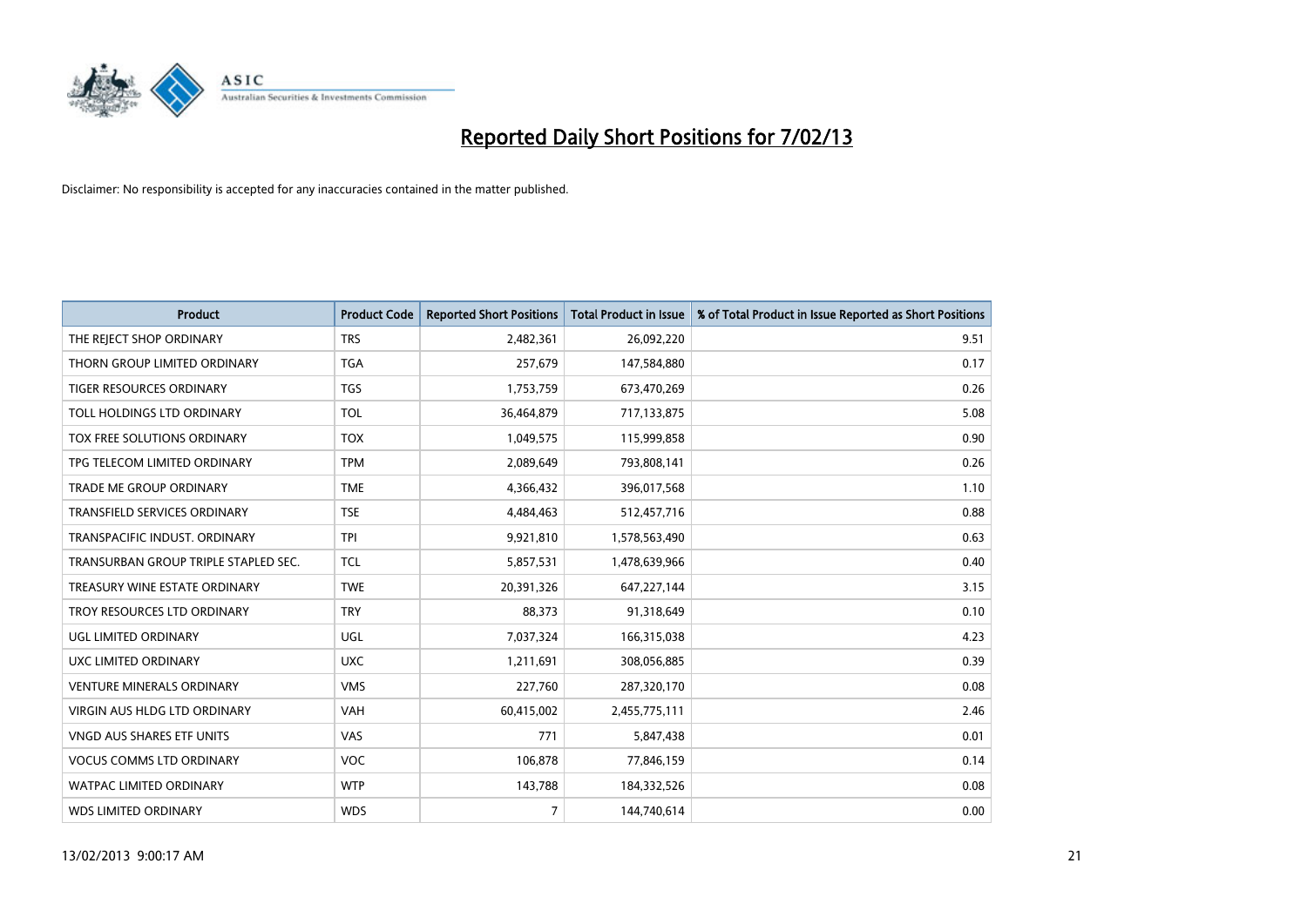

| <b>Product</b>                       | <b>Product Code</b> | <b>Reported Short Positions</b> | <b>Total Product in Issue</b> | % of Total Product in Issue Reported as Short Positions |
|--------------------------------------|---------------------|---------------------------------|-------------------------------|---------------------------------------------------------|
| THE REJECT SHOP ORDINARY             | <b>TRS</b>          | 2,482,361                       | 26,092,220                    | 9.51                                                    |
| THORN GROUP LIMITED ORDINARY         | <b>TGA</b>          | 257,679                         | 147,584,880                   | 0.17                                                    |
| <b>TIGER RESOURCES ORDINARY</b>      | <b>TGS</b>          | 1,753,759                       | 673,470,269                   | 0.26                                                    |
| TOLL HOLDINGS LTD ORDINARY           | <b>TOL</b>          | 36,464,879                      | 717,133,875                   | 5.08                                                    |
| <b>TOX FREE SOLUTIONS ORDINARY</b>   | <b>TOX</b>          | 1,049,575                       | 115,999,858                   | 0.90                                                    |
| TPG TELECOM LIMITED ORDINARY         | <b>TPM</b>          | 2,089,649                       | 793,808,141                   | 0.26                                                    |
| TRADE ME GROUP ORDINARY              | <b>TME</b>          | 4,366,432                       | 396,017,568                   | 1.10                                                    |
| TRANSFIELD SERVICES ORDINARY         | <b>TSE</b>          | 4,484,463                       | 512,457,716                   | 0.88                                                    |
| TRANSPACIFIC INDUST, ORDINARY        | <b>TPI</b>          | 9,921,810                       | 1,578,563,490                 | 0.63                                                    |
| TRANSURBAN GROUP TRIPLE STAPLED SEC. | <b>TCL</b>          | 5,857,531                       | 1,478,639,966                 | 0.40                                                    |
| TREASURY WINE ESTATE ORDINARY        | <b>TWE</b>          | 20,391,326                      | 647,227,144                   | 3.15                                                    |
| TROY RESOURCES LTD ORDINARY          | <b>TRY</b>          | 88,373                          | 91,318,649                    | 0.10                                                    |
| UGL LIMITED ORDINARY                 | UGL                 | 7,037,324                       | 166,315,038                   | 4.23                                                    |
| UXC LIMITED ORDINARY                 | <b>UXC</b>          | 1,211,691                       | 308,056,885                   | 0.39                                                    |
| <b>VENTURE MINERALS ORDINARY</b>     | <b>VMS</b>          | 227,760                         | 287,320,170                   | 0.08                                                    |
| VIRGIN AUS HLDG LTD ORDINARY         | VAH                 | 60,415,002                      | 2,455,775,111                 | 2.46                                                    |
| VNGD AUS SHARES ETF UNITS            | VAS                 | 771                             | 5,847,438                     | 0.01                                                    |
| <b>VOCUS COMMS LTD ORDINARY</b>      | <b>VOC</b>          | 106,878                         | 77,846,159                    | 0.14                                                    |
| <b>WATPAC LIMITED ORDINARY</b>       | <b>WTP</b>          | 143,788                         | 184,332,526                   | 0.08                                                    |
| <b>WDS LIMITED ORDINARY</b>          | <b>WDS</b>          | $\overline{7}$                  | 144,740,614                   | 0.00                                                    |